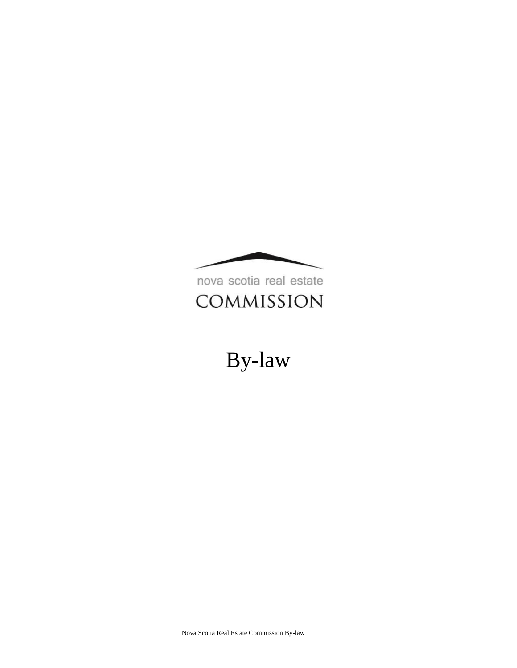

nova scotia real estate COMMISSION

# By-law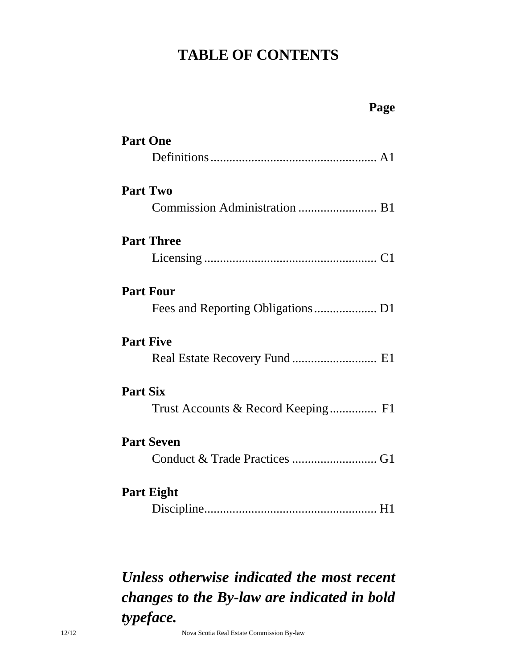# **TABLE OF CONTENTS**

| Page                                                  |
|-------------------------------------------------------|
| <b>Part One</b>                                       |
| <b>Part Two</b><br>Commission Administration  B1      |
| <b>Part Three</b>                                     |
| <b>Part Four</b>                                      |
| <b>Part Five</b><br>Real Estate Recovery Fund  E1     |
| <b>Part Six</b><br>Trust Accounts & Record Keeping F1 |
| <b>Part Seven</b>                                     |
| <b>Part Eight</b>                                     |

# *Unless otherwise indicated the most recent changes to the By-law are indicated in bold typeface.*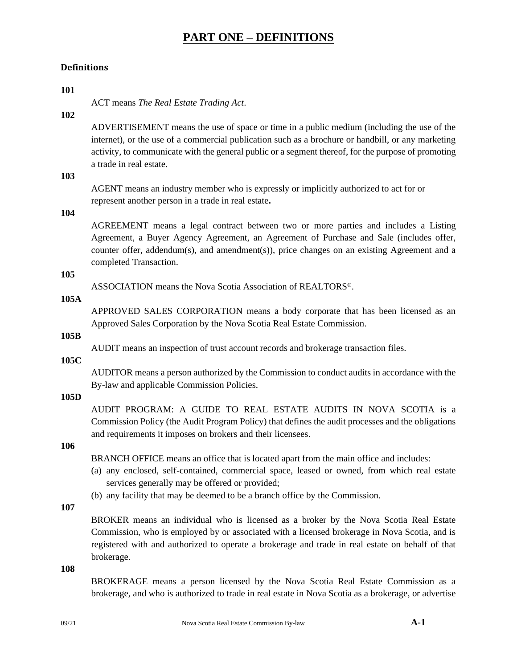### **Definitions**

# **101** ACT means *The Real Estate Trading Act*. **102** ADVERTISEMENT means the use of space or time in a public medium (including the use of the internet), or the use of a commercial publication such as a brochure or handbill, or any marketing activity, to communicate with the general public or a segment thereof, for the purpose of promoting a trade in real estate. **103** AGENT means an industry member who is expressly or implicitly authorized to act for or represent another person in a trade in real estate**. 104** AGREEMENT means a legal contract between two or more parties and includes a Listing Agreement, a Buyer Agency Agreement, an Agreement of Purchase and Sale (includes offer, counter offer, addendum(s), and amendment(s)), price changes on an existing Agreement and a completed Transaction. **105** ASSOCIATION means the Nova Scotia Association of REALTORS<sup>®</sup>. **105A** APPROVED SALES CORPORATION means a body corporate that has been licensed as an Approved Sales Corporation by the Nova Scotia Real Estate Commission. **105B** AUDIT means an inspection of trust account records and brokerage transaction files. **105C** AUDITOR means a person authorized by the Commission to conduct audits in accordance with the By-law and applicable Commission Policies. **105D** AUDIT PROGRAM: A GUIDE TO REAL ESTATE AUDITS IN NOVA SCOTIA is a Commission Policy (the Audit Program Policy) that defines the audit processes and the obligations and requirements it imposes on brokers and their licensees. **106** BRANCH OFFICE means an office that is located apart from the main office and includes: (a) any enclosed, self-contained, commercial space, leased or owned, from which real estate services generally may be offered or provided; (b) any facility that may be deemed to be a branch office by the Commission. **107** BROKER means an individual who is licensed as a broker by the Nova Scotia Real Estate Commission, who is employed by or associated with a licensed brokerage in Nova Scotia, and is registered with and authorized to operate a brokerage and trade in real estate on behalf of that brokerage. **108** BROKERAGE means a person licensed by the Nova Scotia Real Estate Commission as a brokerage, and who is authorized to trade in real estate in Nova Scotia as a brokerage, or advertise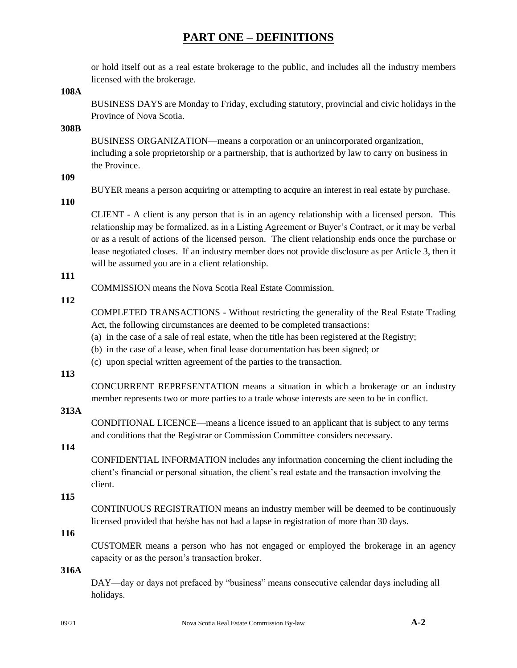or hold itself out as a real estate brokerage to the public, and includes all the industry members licensed with the brokerage.

**108A**

BUSINESS DAYS are Monday to Friday, excluding statutory, provincial and civic holidays in the Province of Nova Scotia.

**308B**

BUSINESS ORGANIZATION—means a corporation or an unincorporated organization, including a sole proprietorship or a partnership, that is authorized by law to carry on business in the Province.

**109**

BUYER means a person acquiring or attempting to acquire an interest in real estate by purchase.

**110**

CLIENT - A client is any person that is in an agency relationship with a licensed person. This relationship may be formalized, as in a Listing Agreement or Buyer's Contract, or it may be verbal or as a result of actions of the licensed person. The client relationship ends once the purchase or lease negotiated closes. If an industry member does not provide disclosure as per Article 3, then it will be assumed you are in a client relationship.

# **111**

COMMISSION means the Nova Scotia Real Estate Commission.

### **112**

COMPLETED TRANSACTIONS - Without restricting the generality of the Real Estate Trading Act, the following circumstances are deemed to be completed transactions:

- (a) in the case of a sale of real estate, when the title has been registered at the Registry;
- (b) in the case of a lease, when final lease documentation has been signed; or
- (c) upon special written agreement of the parties to the transaction.

### **113**

CONCURRENT REPRESENTATION means a situation in which a brokerage or an industry member represents two or more parties to a trade whose interests are seen to be in conflict.

# **313A**

CONDITIONAL LICENCE—means a licence issued to an applicant that is subject to any terms and conditions that the Registrar or Commission Committee considers necessary.

# **114**

CONFIDENTIAL INFORMATION includes any information concerning the client including the client's financial or personal situation, the client's real estate and the transaction involving the client.

### **115**

CONTINUOUS REGISTRATION means an industry member will be deemed to be continuously licensed provided that he/she has not had a lapse in registration of more than 30 days.

### **116**

CUSTOMER means a person who has not engaged or employed the brokerage in an agency capacity or as the person's transaction broker.

#### **316A**

DAY—day or days not prefaced by "business" means consecutive calendar days including all holidays.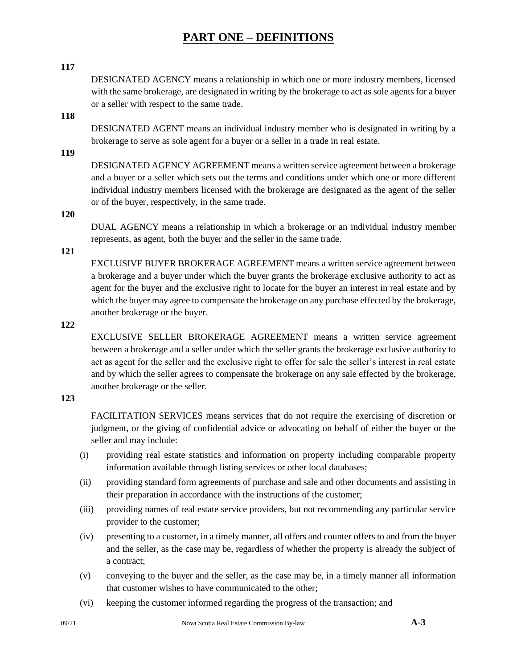#### **117**

DESIGNATED AGENCY means a relationship in which one or more industry members, licensed with the same brokerage, are designated in writing by the brokerage to act as sole agents for a buyer or a seller with respect to the same trade.

### **118**

DESIGNATED AGENT means an individual industry member who is designated in writing by a brokerage to serve as sole agent for a buyer or a seller in a trade in real estate.

**119**

DESIGNATED AGENCY AGREEMENT means a written service agreement between a brokerage and a buyer or a seller which sets out the terms and conditions under which one or more different individual industry members licensed with the brokerage are designated as the agent of the seller or of the buyer, respectively, in the same trade.

**120**

DUAL AGENCY means a relationship in which a brokerage or an individual industry member represents, as agent, both the buyer and the seller in the same trade.

**121**

EXCLUSIVE BUYER BROKERAGE AGREEMENT means a written service agreement between a brokerage and a buyer under which the buyer grants the brokerage exclusive authority to act as agent for the buyer and the exclusive right to locate for the buyer an interest in real estate and by which the buyer may agree to compensate the brokerage on any purchase effected by the brokerage, another brokerage or the buyer.

**122**

EXCLUSIVE SELLER BROKERAGE AGREEMENT means a written service agreement between a brokerage and a seller under which the seller grants the brokerage exclusive authority to act as agent for the seller and the exclusive right to offer for sale the seller's interest in real estate and by which the seller agrees to compensate the brokerage on any sale effected by the brokerage, another brokerage or the seller.

#### **123**

FACILITATION SERVICES means services that do not require the exercising of discretion or judgment, or the giving of confidential advice or advocating on behalf of either the buyer or the seller and may include:

- (i) providing real estate statistics and information on property including comparable property information available through listing services or other local databases;
- (ii) providing standard form agreements of purchase and sale and other documents and assisting in their preparation in accordance with the instructions of the customer;
- (iii) providing names of real estate service providers, but not recommending any particular service provider to the customer;
- (iv) presenting to a customer, in a timely manner, all offers and counter offers to and from the buyer and the seller, as the case may be, regardless of whether the property is already the subject of a contract;
- (v) conveying to the buyer and the seller, as the case may be, in a timely manner all information that customer wishes to have communicated to the other;
- (vi) keeping the customer informed regarding the progress of the transaction; and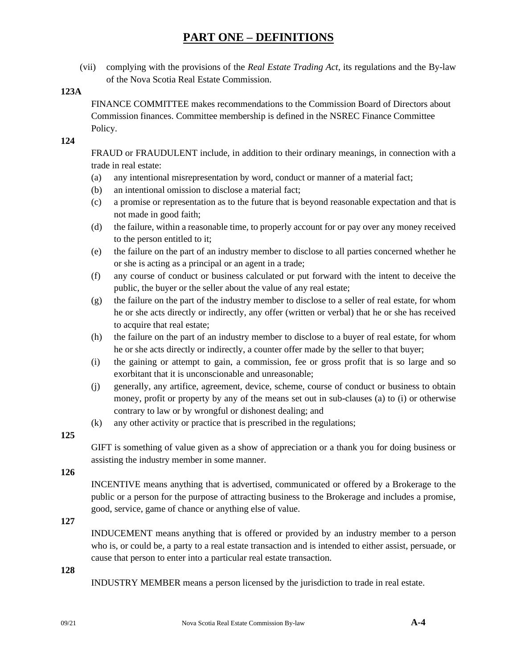(vii) complying with the provisions of the *Real Estate Trading Act*, its regulations and the By-law of the Nova Scotia Real Estate Commission.

### **123A**

FINANCE COMMITTEE makes recommendations to the Commission Board of Directors about Commission finances. Committee membership is defined in the NSREC Finance Committee Policy.

#### **124**

FRAUD or FRAUDULENT include, in addition to their ordinary meanings, in connection with a trade in real estate:

- (a) any intentional misrepresentation by word, conduct or manner of a material fact;
- (b) an intentional omission to disclose a material fact;
- (c) a promise or representation as to the future that is beyond reasonable expectation and that is not made in good faith;
- (d) the failure, within a reasonable time, to properly account for or pay over any money received to the person entitled to it;
- (e) the failure on the part of an industry member to disclose to all parties concerned whether he or she is acting as a principal or an agent in a trade;
- (f) any course of conduct or business calculated or put forward with the intent to deceive the public, the buyer or the seller about the value of any real estate;
- (g) the failure on the part of the industry member to disclose to a seller of real estate, for whom he or she acts directly or indirectly, any offer (written or verbal) that he or she has received to acquire that real estate;
- (h) the failure on the part of an industry member to disclose to a buyer of real estate, for whom he or she acts directly or indirectly, a counter offer made by the seller to that buyer;
- (i) the gaining or attempt to gain, a commission, fee or gross profit that is so large and so exorbitant that it is unconscionable and unreasonable;
- (j) generally, any artifice, agreement, device, scheme, course of conduct or business to obtain money, profit or property by any of the means set out in sub-clauses (a) to (i) or otherwise contrary to law or by wrongful or dishonest dealing; and
- (k) any other activity or practice that is prescribed in the regulations;

### **125**

GIFT is something of value given as a show of appreciation or a thank you for doing business or assisting the industry member in some manner.

**126**

INCENTIVE means anything that is advertised, communicated or offered by a Brokerage to the public or a person for the purpose of attracting business to the Brokerage and includes a promise, good, service, game of chance or anything else of value.

### **127**

INDUCEMENT means anything that is offered or provided by an industry member to a person who is, or could be, a party to a real estate transaction and is intended to either assist, persuade, or cause that person to enter into a particular real estate transaction.

#### **128**

INDUSTRY MEMBER means a person licensed by the jurisdiction to trade in real estate.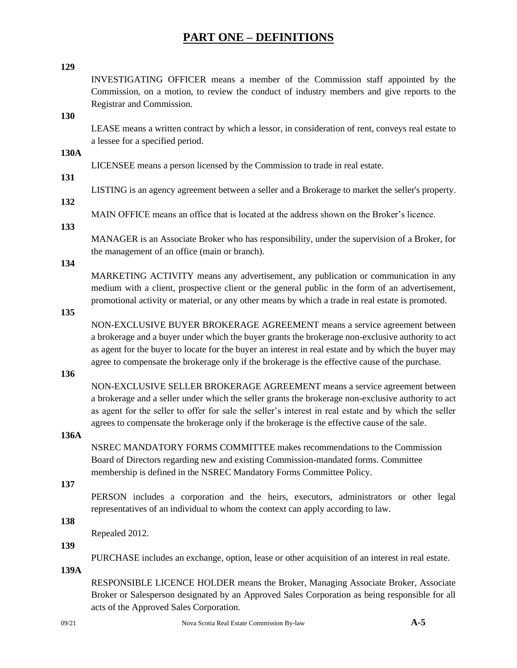#### **129**

INVESTIGATING OFFICER means a member of the Commission staff appointed by the Commission, on a motion, to review the conduct of industry members and give reports to the Registrar and Commission.

**130**

LEASE means a written contract by which a lessor, in consideration of rent, conveys real estate to a lessee for a specified period.

**130A**

LICENSEE means a person licensed by the Commission to trade in real estate.

# **131**

LISTING is an agency agreement between a seller and a Brokerage to market the seller's property.

## **132**

MAIN OFFICE means an office that is located at the address shown on the Broker's licence.

#### **133**

MANAGER is an Associate Broker who has responsibility, under the supervision of a Broker, for the management of an office (main or branch).

#### **134**

MARKETING ACTIVITY means any advertisement, any publication or communication in any medium with a client, prospective client or the general public in the form of an advertisement, promotional activity or material, or any other means by which a trade in real estate is promoted.

**135**

NON-EXCLUSIVE BUYER BROKERAGE AGREEMENT means a service agreement between a brokerage and a buyer under which the buyer grants the brokerage non-exclusive authority to act as agent for the buyer to locate for the buyer an interest in real estate and by which the buyer may agree to compensate the brokerage only if the brokerage is the effective cause of the purchase.

**136**

NON-EXCLUSIVE SELLER BROKERAGE AGREEMENT means a service agreement between a brokerage and a seller under which the seller grants the brokerage non-exclusive authority to act as agent for the seller to offer for sale the seller's interest in real estate and by which the seller agrees to compensate the brokerage only if the brokerage is the effective cause of the sale.

### **136A**

NSREC MANDATORY FORMS COMMITTEE makes recommendations to the Commission Board of Directors regarding new and existing Commission-mandated forms. Committee membership is defined in the NSREC Mandatory Forms Committee Policy.

#### **137**

PERSON includes a corporation and the heirs, executors, administrators or other legal representatives of an individual to whom the context can apply according to law.

**138**

Repealed 2012.

#### **139**

PURCHASE includes an exchange, option, lease or other acquisition of an interest in real estate.

**139A**

RESPONSIBLE LICENCE HOLDER means the Broker, Managing Associate Broker, Associate Broker or Salesperson designated by an Approved Sales Corporation as being responsible for all acts of the Approved Sales Corporation.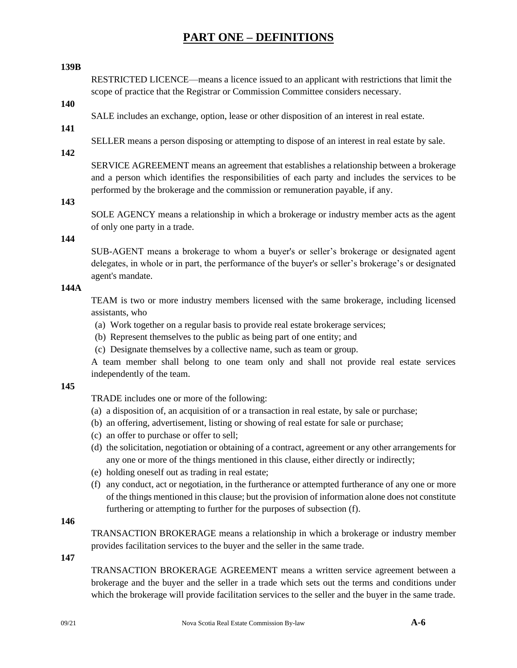#### **139B**

RESTRICTED LICENCE—means a licence issued to an applicant with restrictions that limit the scope of practice that the Registrar or Commission Committee considers necessary.

# **140**

SALE includes an exchange, option, lease or other disposition of an interest in real estate.

**141**

SELLER means a person disposing or attempting to dispose of an interest in real estate by sale.

# **142**

SERVICE AGREEMENT means an agreement that establishes a relationship between a brokerage and a person which identifies the responsibilities of each party and includes the services to be performed by the brokerage and the commission or remuneration payable, if any.

### **143**

SOLE AGENCY means a relationship in which a brokerage or industry member acts as the agent of only one party in a trade.

#### **144**

SUB-AGENT means a brokerage to whom a buyer's or seller's brokerage or designated agent delegates, in whole or in part, the performance of the buyer's or seller's brokerage's or designated agent's mandate.

# **144A**

TEAM is two or more industry members licensed with the same brokerage, including licensed assistants, who

- (a) Work together on a regular basis to provide real estate brokerage services;
- (b) Represent themselves to the public as being part of one entity; and
- (c) Designate themselves by a collective name, such as team or group.

A team member shall belong to one team only and shall not provide real estate services independently of the team.

### **145**

TRADE includes one or more of the following:

- (a) a disposition of, an acquisition of or a transaction in real estate, by sale or purchase;
- (b) an offering, advertisement, listing or showing of real estate for sale or purchase;
- (c) an offer to purchase or offer to sell;
- (d) the solicitation, negotiation or obtaining of a contract, agreement or any other arrangements for any one or more of the things mentioned in this clause, either directly or indirectly;
- (e) holding oneself out as trading in real estate;
- (f) any conduct, act or negotiation, in the furtherance or attempted furtherance of any one or more of the things mentioned in this clause; but the provision of information alone does not constitute furthering or attempting to further for the purposes of subsection (f).

### **146**

TRANSACTION BROKERAGE means a relationship in which a brokerage or industry member provides facilitation services to the buyer and the seller in the same trade.

**147**

TRANSACTION BROKERAGE AGREEMENT means a written service agreement between a brokerage and the buyer and the seller in a trade which sets out the terms and conditions under which the brokerage will provide facilitation services to the seller and the buyer in the same trade.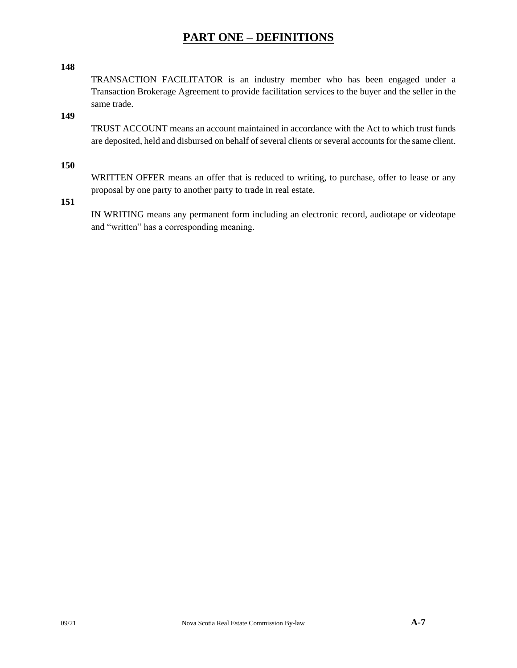#### **148**

TRANSACTION FACILITATOR is an industry member who has been engaged under a Transaction Brokerage Agreement to provide facilitation services to the buyer and the seller in the same trade.

**149**

TRUST ACCOUNT means an account maintained in accordance with the Act to which trust funds are deposited, held and disbursed on behalf of several clients or several accounts for the same client.

**150**

WRITTEN OFFER means an offer that is reduced to writing, to purchase, offer to lease or any proposal by one party to another party to trade in real estate.

**151**

IN WRITING means any permanent form including an electronic record, audiotape or videotape and "written" has a corresponding meaning.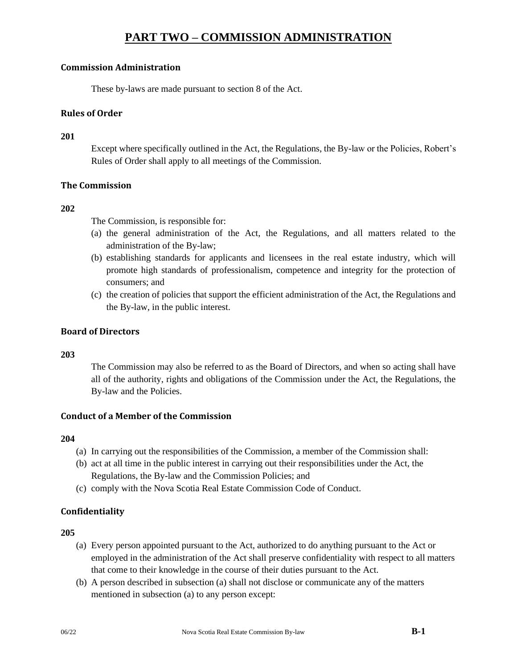## **Commission Administration**

These by-laws are made pursuant to section 8 of the Act.

## **Rules of Order**

### **201**

Except where specifically outlined in the Act, the Regulations, the By-law or the Policies, Robert's Rules of Order shall apply to all meetings of the Commission.

### **The Commission**

### **202**

The Commission, is responsible for:

- (a) the general administration of the Act, the Regulations, and all matters related to the administration of the By-law;
- (b) establishing standards for applicants and licensees in the real estate industry, which will promote high standards of professionalism, competence and integrity for the protection of consumers; and
- (c) the creation of policies that support the efficient administration of the Act, the Regulations and the By-law, in the public interest.

## **Board of Directors**

### **203**

The Commission may also be referred to as the Board of Directors, and when so acting shall have all of the authority, rights and obligations of the Commission under the Act, the Regulations, the By-law and the Policies.

### **Conduct of a Member of the Commission**

### **204**

- (a) In carrying out the responsibilities of the Commission, a member of the Commission shall:
- (b) act at all time in the public interest in carrying out their responsibilities under the Act, the Regulations, the By-law and the Commission Policies; and
- (c) comply with the Nova Scotia Real Estate Commission Code of Conduct.

# **Confidentiality**

- (a) Every person appointed pursuant to the Act, authorized to do anything pursuant to the Act or employed in the administration of the Act shall preserve confidentiality with respect to all matters that come to their knowledge in the course of their duties pursuant to the Act.
- (b) A person described in subsection (a) shall not disclose or communicate any of the matters mentioned in subsection (a) to any person except: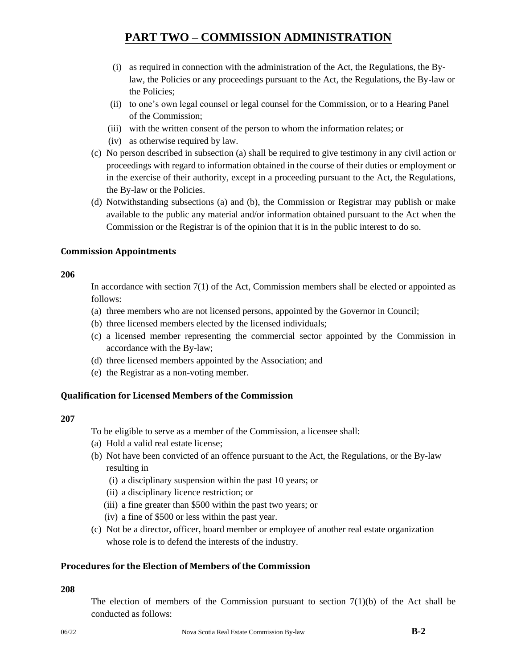- (i) as required in connection with the administration of the Act, the Regulations, the Bylaw, the Policies or any proceedings pursuant to the Act, the Regulations, the By-law or the Policies;
- (ii) to one's own legal counsel or legal counsel for the Commission, or to a Hearing Panel of the Commission;
- (iii) with the written consent of the person to whom the information relates; or
- (iv) as otherwise required by law.
- (c) No person described in subsection (a) shall be required to give testimony in any civil action or proceedings with regard to information obtained in the course of their duties or employment or in the exercise of their authority, except in a proceeding pursuant to the Act, the Regulations, the By-law or the Policies.
- (d) Notwithstanding subsections (a) and (b), the Commission or Registrar may publish or make available to the public any material and/or information obtained pursuant to the Act when the Commission or the Registrar is of the opinion that it is in the public interest to do so.

### **Commission Appointments**

#### **206**

In accordance with section 7(1) of the Act, Commission members shall be elected or appointed as follows:

- (a) three members who are not licensed persons, appointed by the Governor in Council;
- (b) three licensed members elected by the licensed individuals;
- (c) a licensed member representing the commercial sector appointed by the Commission in accordance with the By-law;
- (d) three licensed members appointed by the Association; and
- (e) the Registrar as a non-voting member.

# **Qualification for Licensed Members of the Commission**

### **207**

- To be eligible to serve as a member of the Commission, a licensee shall:
- (a) Hold a valid real estate license;
- (b) Not have been convicted of an offence pursuant to the Act, the Regulations, or the By-law resulting in
	- (i) a disciplinary suspension within the past 10 years; or
	- (ii) a disciplinary licence restriction; or
	- (iii) a fine greater than \$500 within the past two years; or
	- (iv) a fine of \$500 or less within the past year.
- (c) Not be a director, officer, board member or employee of another real estate organization whose role is to defend the interests of the industry.

# **Procedures for the Election of Members of the Commission**

# **208**

The election of members of the Commission pursuant to section  $7(1)(b)$  of the Act shall be conducted as follows: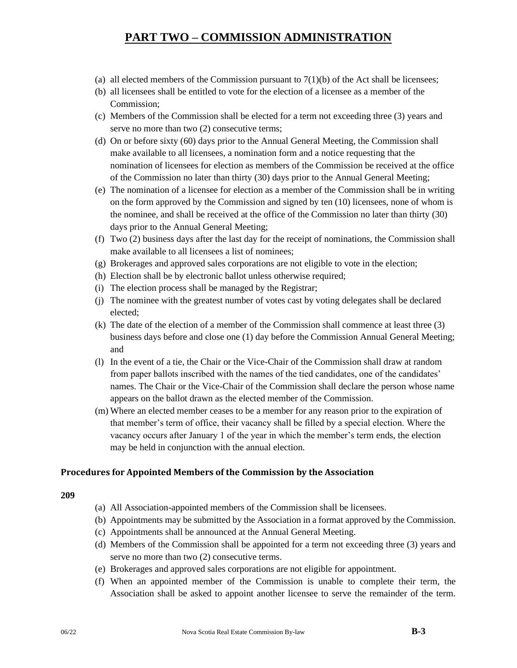- (a) all elected members of the Commission pursuant to  $7(1)(b)$  of the Act shall be licensees;
- (b) all licensees shall be entitled to vote for the election of a licensee as a member of the Commission;
- (c) Members of the Commission shall be elected for a term not exceeding three (3) years and serve no more than two  $(2)$  consecutive terms;
- (d) On or before sixty (60) days prior to the Annual General Meeting, the Commission shall make available to all licensees, a nomination form and a notice requesting that the nomination of licensees for election as members of the Commission be received at the office of the Commission no later than thirty (30) days prior to the Annual General Meeting;
- (e) The nomination of a licensee for election as a member of the Commission shall be in writing on the form approved by the Commission and signed by ten (10) licensees, none of whom is the nominee, and shall be received at the office of the Commission no later than thirty (30) days prior to the Annual General Meeting;
- (f) Two (2) business days after the last day for the receipt of nominations, the Commission shall make available to all licensees a list of nominees;
- (g) Brokerages and approved sales corporations are not eligible to vote in the election;
- (h) Election shall be by electronic ballot unless otherwise required;
- (i) The election process shall be managed by the Registrar;
- (j) The nominee with the greatest number of votes cast by voting delegates shall be declared elected;
- (k) The date of the election of a member of the Commission shall commence at least three (3) business days before and close one (1) day before the Commission Annual General Meeting; and
- (l) In the event of a tie, the Chair or the Vice-Chair of the Commission shall draw at random from paper ballots inscribed with the names of the tied candidates, one of the candidates' names. The Chair or the Vice-Chair of the Commission shall declare the person whose name appears on the ballot drawn as the elected member of the Commission.
- (m) Where an elected member ceases to be a member for any reason prior to the expiration of that member's term of office, their vacancy shall be filled by a special election. Where the vacancy occurs after January 1 of the year in which the member's term ends, the election may be held in conjunction with the annual election.

### **Procedures for Appointed Members of the Commission by the Association**

- (a) All Association-appointed members of the Commission shall be licensees.
- (b) Appointments may be submitted by the Association in a format approved by the Commission.
- (c) Appointments shall be announced at the Annual General Meeting.
- (d) Members of the Commission shall be appointed for a term not exceeding three (3) years and serve no more than two (2) consecutive terms.
- (e) Brokerages and approved sales corporations are not eligible for appointment.
- (f) When an appointed member of the Commission is unable to complete their term, the Association shall be asked to appoint another licensee to serve the remainder of the term.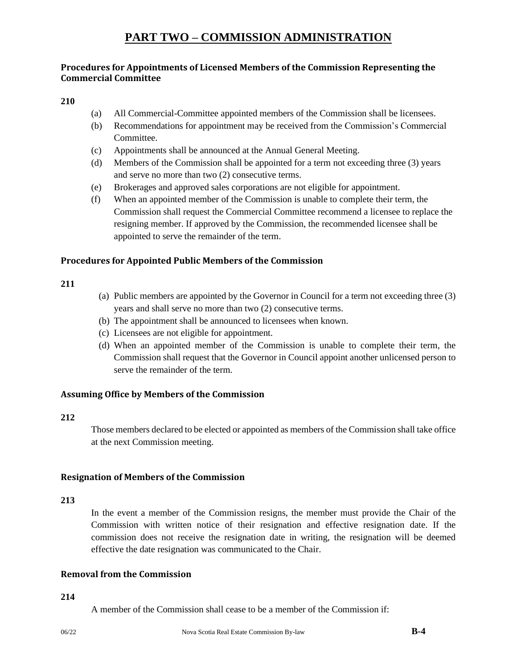# **Procedures for Appointments of Licensed Members of the Commission Representing the Commercial Committee**

#### **210**

- (a) All Commercial-Committee appointed members of the Commission shall be licensees.
- (b) Recommendations for appointment may be received from the Commission's Commercial Committee.
- (c) Appointments shall be announced at the Annual General Meeting.
- (d) Members of the Commission shall be appointed for a term not exceeding three (3) years and serve no more than two (2) consecutive terms.
- (e) Brokerages and approved sales corporations are not eligible for appointment.
- (f) When an appointed member of the Commission is unable to complete their term, the Commission shall request the Commercial Committee recommend a licensee to replace the resigning member. If approved by the Commission, the recommended licensee shall be appointed to serve the remainder of the term.

#### **Procedures for Appointed Public Members of the Commission**

#### **211**

- (a) Public members are appointed by the Governor in Council for a term not exceeding three (3) years and shall serve no more than two (2) consecutive terms.
- (b) The appointment shall be announced to licensees when known.
- (c) Licensees are not eligible for appointment.
- (d) When an appointed member of the Commission is unable to complete their term, the Commission shall request that the Governor in Council appoint another unlicensed person to serve the remainder of the term.

### **Assuming Office by Members of the Commission**

#### **212**

Those members declared to be elected or appointed as members of the Commission shall take office at the next Commission meeting.

#### **Resignation of Members of the Commission**

#### **213**

In the event a member of the Commission resigns, the member must provide the Chair of the Commission with written notice of their resignation and effective resignation date. If the commission does not receive the resignation date in writing, the resignation will be deemed effective the date resignation was communicated to the Chair.

#### **Removal from the Commission**

#### **214**

A member of the Commission shall cease to be a member of the Commission if: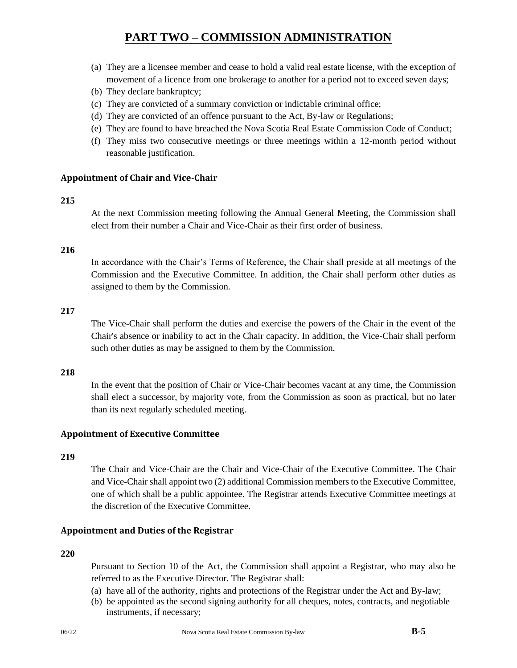- (a) They are a licensee member and cease to hold a valid real estate license, with the exception of movement of a licence from one brokerage to another for a period not to exceed seven days;
- (b) They declare bankruptcy;
- (c) They are convicted of a summary conviction or indictable criminal office;
- (d) They are convicted of an offence pursuant to the Act, By-law or Regulations;
- (e) They are found to have breached the Nova Scotia Real Estate Commission Code of Conduct;
- (f) They miss two consecutive meetings or three meetings within a 12-month period without reasonable justification.

#### **Appointment of Chair and Vice-Chair**

#### **215**

At the next Commission meeting following the Annual General Meeting, the Commission shall elect from their number a Chair and Vice-Chair as their first order of business.

#### **216**

In accordance with the Chair's Terms of Reference, the Chair shall preside at all meetings of the Commission and the Executive Committee. In addition, the Chair shall perform other duties as assigned to them by the Commission.

#### **217**

The Vice-Chair shall perform the duties and exercise the powers of the Chair in the event of the Chair's absence or inability to act in the Chair capacity. In addition, the Vice-Chair shall perform such other duties as may be assigned to them by the Commission.

#### **218**

In the event that the position of Chair or Vice-Chair becomes vacant at any time, the Commission shall elect a successor, by majority vote, from the Commission as soon as practical, but no later than its next regularly scheduled meeting.

#### **Appointment of Executive Committee**

#### **219**

The Chair and Vice-Chair are the Chair and Vice-Chair of the Executive Committee. The Chair and Vice-Chair shall appoint two (2) additional Commission members to the Executive Committee, one of which shall be a public appointee. The Registrar attends Executive Committee meetings at the discretion of the Executive Committee.

### **Appointment and Duties of the Registrar**

#### **220**

Pursuant to Section 10 of the Act, the Commission shall appoint a Registrar, who may also be referred to as the Executive Director. The Registrar shall:

- (a) have all of the authority, rights and protections of the Registrar under the Act and By-law;
- (b) be appointed as the second signing authority for all cheques, notes, contracts, and negotiable instruments, if necessary;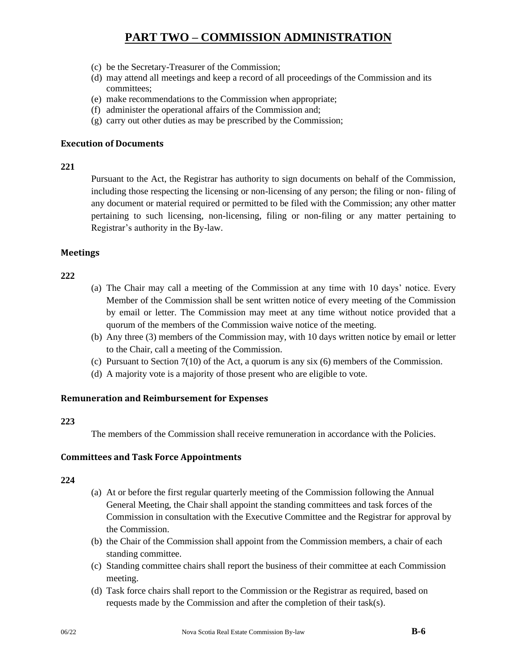- (c) be the Secretary-Treasurer of the Commission;
- (d) may attend all meetings and keep a record of all proceedings of the Commission and its committees;
- (e) make recommendations to the Commission when appropriate;
- (f) administer the operational affairs of the Commission and;
- (g) carry out other duties as may be prescribed by the Commission;

#### **Execution of Documents**

#### **221**

Pursuant to the Act, the Registrar has authority to sign documents on behalf of the Commission, including those respecting the licensing or non-licensing of any person; the filing or non- filing of any document or material required or permitted to be filed with the Commission; any other matter pertaining to such licensing, non-licensing, filing or non-filing or any matter pertaining to Registrar's authority in the By-law.

#### **Meetings**

### **222**

- (a) The Chair may call a meeting of the Commission at any time with 10 days' notice. Every Member of the Commission shall be sent written notice of every meeting of the Commission by email or letter. The Commission may meet at any time without notice provided that a quorum of the members of the Commission waive notice of the meeting.
- (b) Any three (3) members of the Commission may, with 10 days written notice by email or letter to the Chair, call a meeting of the Commission.
- (c) Pursuant to Section 7(10) of the Act, a quorum is any six (6) members of the Commission.
- (d) A majority vote is a majority of those present who are eligible to vote.

### **Remuneration and Reimbursement for Expenses**

#### **223**

The members of the Commission shall receive remuneration in accordance with the Policies.

### **Committees and Task Force Appointments**

- (a) At or before the first regular quarterly meeting of the Commission following the Annual General Meeting, the Chair shall appoint the standing committees and task forces of the Commission in consultation with the Executive Committee and the Registrar for approval by the Commission.
- (b) the Chair of the Commission shall appoint from the Commission members, a chair of each standing committee.
- (c) Standing committee chairs shall report the business of their committee at each Commission meeting.
- (d) Task force chairs shall report to the Commission or the Registrar as required, based on requests made by the Commission and after the completion of their task(s).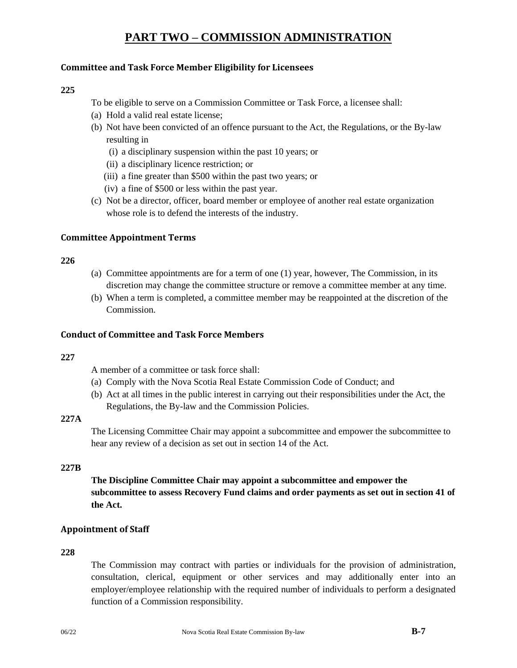## **Committee and Task Force Member Eligibility for Licensees**

#### **225**

To be eligible to serve on a Commission Committee or Task Force, a licensee shall:

- (a) Hold a valid real estate license;
- (b) Not have been convicted of an offence pursuant to the Act, the Regulations, or the By-law resulting in
	- (i) a disciplinary suspension within the past 10 years; or
	- (ii) a disciplinary licence restriction; or
	- (iii) a fine greater than \$500 within the past two years; or
	- (iv) a fine of \$500 or less within the past year.
- (c) Not be a director, officer, board member or employee of another real estate organization whose role is to defend the interests of the industry.

#### **Committee Appointment Terms**

#### **226**

- (a) Committee appointments are for a term of one (1) year, however, The Commission, in its discretion may change the committee structure or remove a committee member at any time.
- (b) When a term is completed, a committee member may be reappointed at the discretion of the Commission.

#### **Conduct of Committee and Task Force Members**

#### **227**

A member of a committee or task force shall:

- (a) Comply with the Nova Scotia Real Estate Commission Code of Conduct; and
- (b) Act at all times in the public interest in carrying out their responsibilities under the Act, the Regulations, the By-law and the Commission Policies.

#### **227A**

The Licensing Committee Chair may appoint a subcommittee and empower the subcommittee to hear any review of a decision as set out in section 14 of the Act.

#### **227B**

**The Discipline Committee Chair may appoint a subcommittee and empower the subcommittee to assess Recovery Fund claims and order payments as set out in section 41 of the Act.**

### **Appointment of Staff**

#### **228**

The Commission may contract with parties or individuals for the provision of administration, consultation, clerical, equipment or other services and may additionally enter into an employer/employee relationship with the required number of individuals to perform a designated function of a Commission responsibility.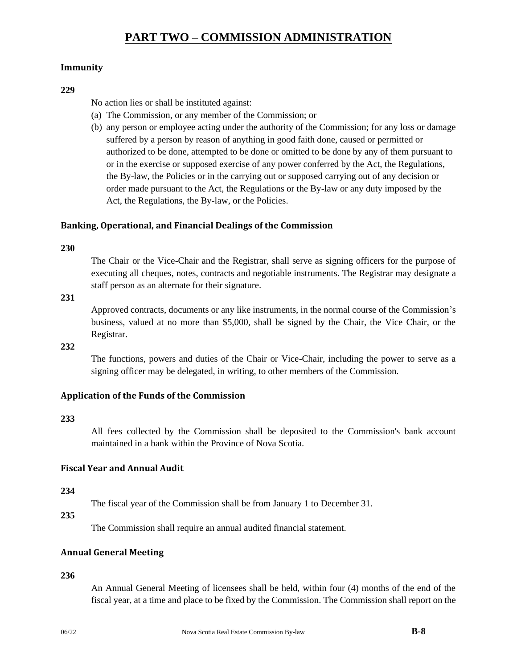### **Immunity**

#### **229**

No action lies or shall be instituted against:

- (a) The Commission, or any member of the Commission; or
- (b) any person or employee acting under the authority of the Commission; for any loss or damage suffered by a person by reason of anything in good faith done, caused or permitted or authorized to be done, attempted to be done or omitted to be done by any of them pursuant to or in the exercise or supposed exercise of any power conferred by the Act, the Regulations, the By-law, the Policies or in the carrying out or supposed carrying out of any decision or order made pursuant to the Act, the Regulations or the By-law or any duty imposed by the Act, the Regulations, the By-law, or the Policies.

### **Banking, Operational, and Financial Dealings of the Commission**

#### **230**

The Chair or the Vice-Chair and the Registrar, shall serve as signing officers for the purpose of executing all cheques, notes, contracts and negotiable instruments. The Registrar may designate a staff person as an alternate for their signature.

#### **231**

Approved contracts, documents or any like instruments, in the normal course of the Commission's business, valued at no more than \$5,000, shall be signed by the Chair, the Vice Chair, or the Registrar.

#### **232**

The functions, powers and duties of the Chair or Vice-Chair, including the power to serve as a signing officer may be delegated, in writing, to other members of the Commission.

### **Application of the Funds of the Commission**

#### **233**

All fees collected by the Commission shall be deposited to the Commission's bank account maintained in a bank within the Province of Nova Scotia.

### **Fiscal Year and Annual Audit**

#### **234**

The fiscal year of the Commission shall be from January 1 to December 31.

#### **235**

The Commission shall require an annual audited financial statement.

### **Annual General Meeting**

#### **236**

An Annual General Meeting of licensees shall be held, within four (4) months of the end of the fiscal year, at a time and place to be fixed by the Commission. The Commission shall report on the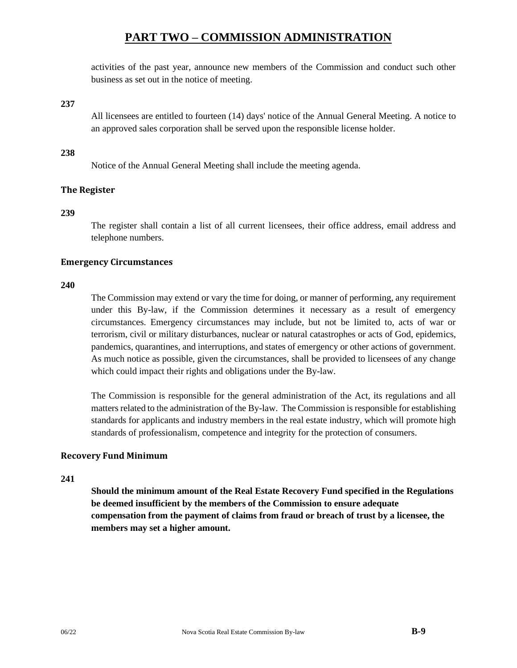activities of the past year, announce new members of the Commission and conduct such other business as set out in the notice of meeting.

### **237**

All licensees are entitled to fourteen (14) days' notice of the Annual General Meeting. A notice to an approved sales corporation shall be served upon the responsible license holder.

#### **238**

Notice of the Annual General Meeting shall include the meeting agenda.

### **The Register**

#### **239**

The register shall contain a list of all current licensees, their office address, email address and telephone numbers.

### **Emergency Circumstances**

#### **240**

The Commission may extend or vary the time for doing, or manner of performing, any requirement under this By-law, if the Commission determines it necessary as a result of emergency circumstances. Emergency circumstances may include, but not be limited to, acts of war or terrorism, civil or military disturbances, nuclear or natural catastrophes or acts of God, epidemics, pandemics, quarantines, and interruptions, and states of emergency or other actions of government. As much notice as possible, given the circumstances, shall be provided to licensees of any change which could impact their rights and obligations under the By-law.

The Commission is responsible for the general administration of the Act, its regulations and all matters related to the administration of the By-law. The Commission is responsible for establishing standards for applicants and industry members in the real estate industry, which will promote high standards of professionalism, competence and integrity for the protection of consumers.

#### **Recovery Fund Minimum**

#### **241**

**Should the minimum amount of the Real Estate Recovery Fund specified in the Regulations be deemed insufficient by the members of the Commission to ensure adequate compensation from the payment of claims from fraud or breach of trust by a licensee, the members may set a higher amount.**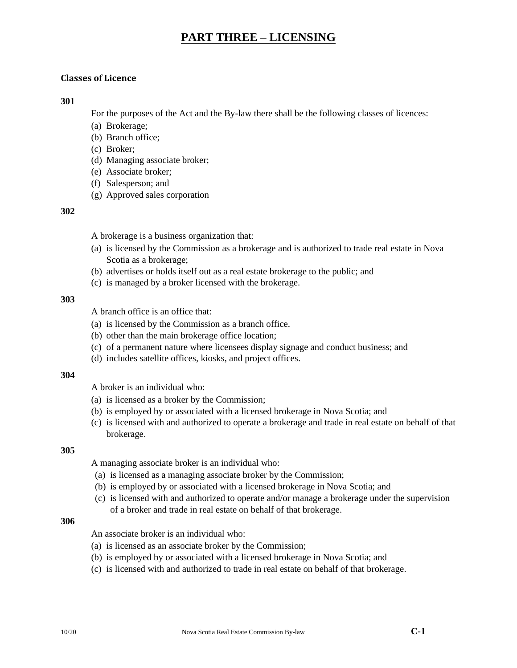### **Classes of Licence**

#### **301**

For the purposes of the Act and the By-law there shall be the following classes of licences:

- (a) Brokerage;
- (b) Branch office;
- (c) Broker;
- (d) Managing associate broker;
- (e) Associate broker;
- (f) Salesperson; and
- (g) Approved sales corporation

#### **302**

A brokerage is a business organization that:

- (a) is licensed by the Commission as a brokerage and is authorized to trade real estate in Nova Scotia as a brokerage;
- (b) advertises or holds itself out as a real estate brokerage to the public; and
- (c) is managed by a broker licensed with the brokerage.

#### **303**

A branch office is an office that:

- (a) is licensed by the Commission as a branch office.
- (b) other than the main brokerage office location;
- (c) of a permanent nature where licensees display signage and conduct business; and
- (d) includes satellite offices, kiosks, and project offices.

#### **304**

A broker is an individual who:

- (a) is licensed as a broker by the Commission;
- (b) is employed by or associated with a licensed brokerage in Nova Scotia; and
- (c) is licensed with and authorized to operate a brokerage and trade in real estate on behalf of that brokerage.

#### **305**

A managing associate broker is an individual who:

- (a) is licensed as a managing associate broker by the Commission;
- (b) is employed by or associated with a licensed brokerage in Nova Scotia; and
- (c) is licensed with and authorized to operate and/or manage a brokerage under the supervision of a broker and trade in real estate on behalf of that brokerage.

#### **306**

An associate broker is an individual who:

- (a) is licensed as an associate broker by the Commission;
- (b) is employed by or associated with a licensed brokerage in Nova Scotia; and
- (c) is licensed with and authorized to trade in real estate on behalf of that brokerage.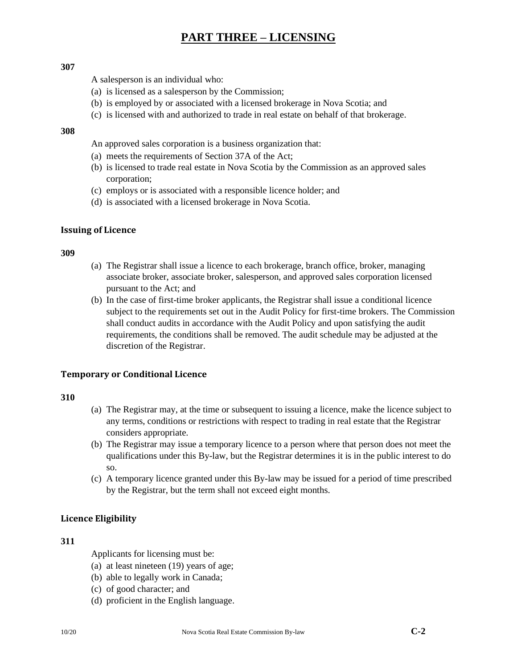#### **307**

A salesperson is an individual who:

- (a) is licensed as a salesperson by the Commission;
- (b) is employed by or associated with a licensed brokerage in Nova Scotia; and
- (c) is licensed with and authorized to trade in real estate on behalf of that brokerage.

#### **308**

An approved sales corporation is a business organization that:

- (a) meets the requirements of Section 37A of the Act;
- (b) is licensed to trade real estate in Nova Scotia by the Commission as an approved sales corporation;
- (c) employs or is associated with a responsible licence holder; and
- (d) is associated with a licensed brokerage in Nova Scotia.

#### **Issuing of Licence**

#### **309**

- (a) The Registrar shall issue a licence to each brokerage, branch office, broker, managing associate broker, associate broker, salesperson, and approved sales corporation licensed pursuant to the Act; and
- (b) In the case of first-time broker applicants, the Registrar shall issue a conditional licence subject to the requirements set out in the Audit Policy for first-time brokers. The Commission shall conduct audits in accordance with the Audit Policy and upon satisfying the audit requirements, the conditions shall be removed. The audit schedule may be adjusted at the discretion of the Registrar.

### **Temporary or Conditional Licence**

#### **310**

- (a) The Registrar may, at the time or subsequent to issuing a licence, make the licence subject to any terms, conditions or restrictions with respect to trading in real estate that the Registrar considers appropriate.
- (b) The Registrar may issue a temporary licence to a person where that person does not meet the qualifications under this By-law, but the Registrar determines it is in the public interest to do so.
- (c) A temporary licence granted under this By-law may be issued for a period of time prescribed by the Registrar, but the term shall not exceed eight months.

### **Licence Eligibility**

#### **311**

Applicants for licensing must be:

- (a) at least nineteen (19) years of age;
- (b) able to legally work in Canada;
- (c) of good character; and
- (d) proficient in the English language.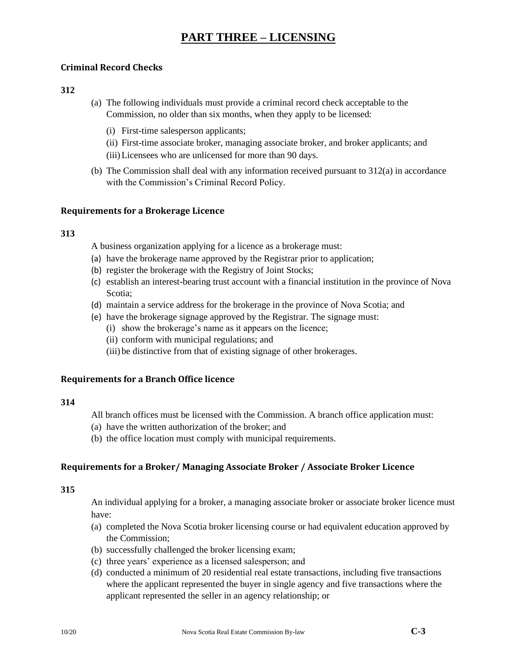## **Criminal Record Checks**

### **312**

- (a) The following individuals must provide a criminal record check acceptable to the Commission, no older than six months, when they apply to be licensed:
	- (i) First-time salesperson applicants;
	- (ii) First-time associate broker, managing associate broker, and broker applicants; and (iii)Licensees who are unlicensed for more than 90 days.
- (b) The Commission shall deal with any information received pursuant to 312(a) in accordance with the Commission's Criminal Record Policy.

### **Requirements for a Brokerage Licence**

### **313**

A business organization applying for a licence as a brokerage must:

- (a) have the brokerage name approved by the Registrar prior to application;
- (b) register the brokerage with the Registry of Joint Stocks;
- (c) establish an interest-bearing trust account with a financial institution in the province of Nova Scotia;
- (d) maintain a service address for the brokerage in the province of Nova Scotia; and
- (e) have the brokerage signage approved by the Registrar. The signage must:
	- (i) show the brokerage's name as it appears on the licence;
	- (ii) conform with municipal regulations; and
	- (iii) be distinctive from that of existing signage of other brokerages.

### **Requirements for a Branch Office licence**

### **314**

All branch offices must be licensed with the Commission. A branch office application must:

- (a) have the written authorization of the broker; and
- (b) the office location must comply with municipal requirements.

# **Requirements for a Broker/ Managing Associate Broker / Associate Broker Licence**

### **315**

An individual applying for a broker, a managing associate broker or associate broker licence must have:

- (a) completed the Nova Scotia broker licensing course or had equivalent education approved by the Commission;
- (b) successfully challenged the broker licensing exam;
- (c) three years' experience as a licensed salesperson; and
- (d) conducted a minimum of 20 residential real estate transactions, including five transactions where the applicant represented the buyer in single agency and five transactions where the applicant represented the seller in an agency relationship; or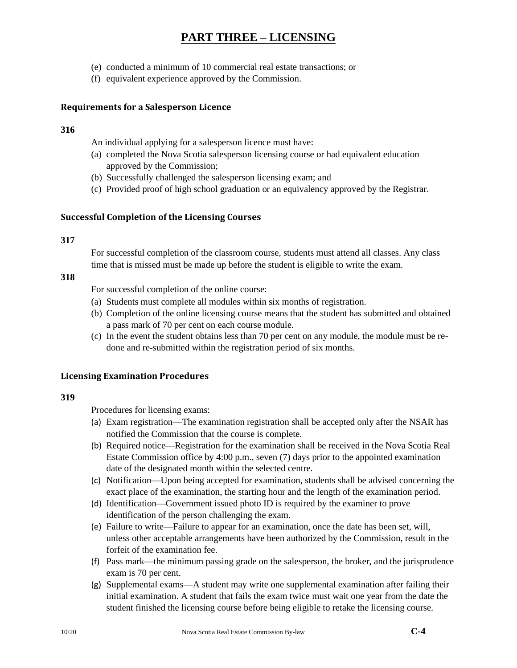- (e) conducted a minimum of 10 commercial real estate transactions; or
- (f) equivalent experience approved by the Commission.

### **Requirements for a Salesperson Licence**

### **316**

An individual applying for a salesperson licence must have:

- (a) completed the Nova Scotia salesperson licensing course or had equivalent education approved by the Commission;
- (b) Successfully challenged the salesperson licensing exam; and
- (c) Provided proof of high school graduation or an equivalency approved by the Registrar.

### **Successful Completion of the Licensing Courses**

### **317**

For successful completion of the classroom course, students must attend all classes. Any class time that is missed must be made up before the student is eligible to write the exam.

### **318**

For successful completion of the online course:

- (a) Students must complete all modules within six months of registration.
- (b) Completion of the online licensing course means that the student has submitted and obtained a pass mark of 70 per cent on each course module.
- (c) In the event the student obtains less than 70 per cent on any module, the module must be redone and re-submitted within the registration period of six months.

### **Licensing Examination Procedures**

#### **319**

Procedures for licensing exams:

- (a) Exam registration—The examination registration shall be accepted only after the NSAR has notified the Commission that the course is complete.
- (b) Required notice—Registration for the examination shall be received in the Nova Scotia Real Estate Commission office by 4:00 p.m., seven (7) days prior to the appointed examination date of the designated month within the selected centre.
- (c) Notification—Upon being accepted for examination, students shall be advised concerning the exact place of the examination, the starting hour and the length of the examination period.
- (d) Identification—Government issued photo ID is required by the examiner to prove identification of the person challenging the exam.
- (e) Failure to write—Failure to appear for an examination, once the date has been set, will, unless other acceptable arrangements have been authorized by the Commission, result in the forfeit of the examination fee.
- (f) Pass mark—the minimum passing grade on the salesperson, the broker, and the jurisprudence exam is 70 per cent.
- (g) Supplemental exams—A student may write one supplemental examination after failing their initial examination. A student that fails the exam twice must wait one year from the date the student finished the licensing course before being eligible to retake the licensing course.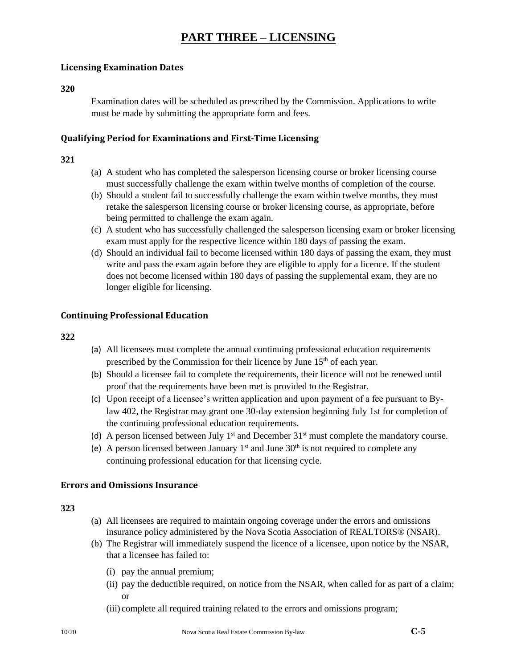### **Licensing Examination Dates**

#### **320**

Examination dates will be scheduled as prescribed by the Commission. Applications to write must be made by submitting the appropriate form and fees.

#### **Qualifying Period for Examinations and First-Time Licensing**

### **321**

- (a) A student who has completed the salesperson licensing course or broker licensing course must successfully challenge the exam within twelve months of completion of the course.
- (b) Should a student fail to successfully challenge the exam within twelve months, they must retake the salesperson licensing course or broker licensing course, as appropriate, before being permitted to challenge the exam again.
- (c) A student who has successfully challenged the salesperson licensing exam or broker licensing exam must apply for the respective licence within 180 days of passing the exam.
- (d) Should an individual fail to become licensed within 180 days of passing the exam, they must write and pass the exam again before they are eligible to apply for a licence. If the student does not become licensed within 180 days of passing the supplemental exam, they are no longer eligible for licensing.

### **Continuing Professional Education**

#### **322**

- (a) All licensees must complete the annual continuing professional education requirements prescribed by the Commission for their licence by June  $15<sup>th</sup>$  of each year.
- (b) Should a licensee fail to complete the requirements, their licence will not be renewed until proof that the requirements have been met is provided to the Registrar.
- (c) Upon receipt of a licensee's written application and upon payment of a fee pursuant to Bylaw 402, the Registrar may grant one 30-day extension beginning July 1st for completion of the continuing professional education requirements.
- (d) A person licensed between July  $1<sup>st</sup>$  and December  $31<sup>st</sup>$  must complete the mandatory course.
- (e) A person licensed between January  $1<sup>st</sup>$  and June  $30<sup>th</sup>$  is not required to complete any continuing professional education for that licensing cycle.

### **Errors and Omissions Insurance**

- (a) All licensees are required to maintain ongoing coverage under the errors and omissions insurance policy administered by the Nova Scotia Association of REALTORS® (NSAR).
- (b) The Registrar will immediately suspend the licence of a licensee, upon notice by the NSAR, that a licensee has failed to:
	- (i) pay the annual premium;
	- (ii) pay the deductible required, on notice from the NSAR, when called for as part of a claim; or
	- (iii) complete all required training related to the errors and omissions program;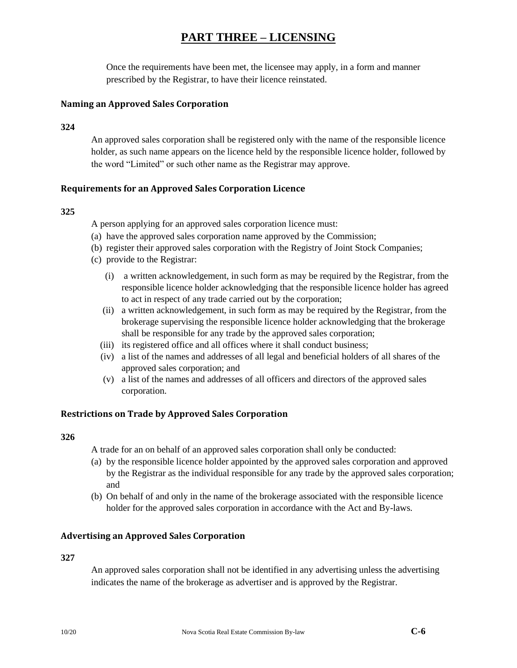Once the requirements have been met, the licensee may apply, in a form and manner prescribed by the Registrar, to have their licence reinstated.

### **Naming an Approved Sales Corporation**

**324**

An approved sales corporation shall be registered only with the name of the responsible licence holder, as such name appears on the licence held by the responsible licence holder, followed by the word "Limited" or such other name as the Registrar may approve.

#### **Requirements for an Approved Sales Corporation Licence**

#### **325**

A person applying for an approved sales corporation licence must:

- (a) have the approved sales corporation name approved by the Commission;
- (b) register their approved sales corporation with the Registry of Joint Stock Companies;
- (c) provide to the Registrar:
	- (i) a written acknowledgement, in such form as may be required by the Registrar, from the responsible licence holder acknowledging that the responsible licence holder has agreed to act in respect of any trade carried out by the corporation;
	- (ii) a written acknowledgement, in such form as may be required by the Registrar, from the brokerage supervising the responsible licence holder acknowledging that the brokerage shall be responsible for any trade by the approved sales corporation;
	- (iii) its registered office and all offices where it shall conduct business;
	- (iv) a list of the names and addresses of all legal and beneficial holders of all shares of the approved sales corporation; and
	- (v) a list of the names and addresses of all officers and directors of the approved sales corporation.

### **Restrictions on Trade by Approved Sales Corporation**

#### **326**

A trade for an on behalf of an approved sales corporation shall only be conducted:

- (a) by the responsible licence holder appointed by the approved sales corporation and approved by the Registrar as the individual responsible for any trade by the approved sales corporation; and
- (b) On behalf of and only in the name of the brokerage associated with the responsible licence holder for the approved sales corporation in accordance with the Act and By-laws.

#### **Advertising an Approved Sales Corporation**

#### **327**

An approved sales corporation shall not be identified in any advertising unless the advertising indicates the name of the brokerage as advertiser and is approved by the Registrar.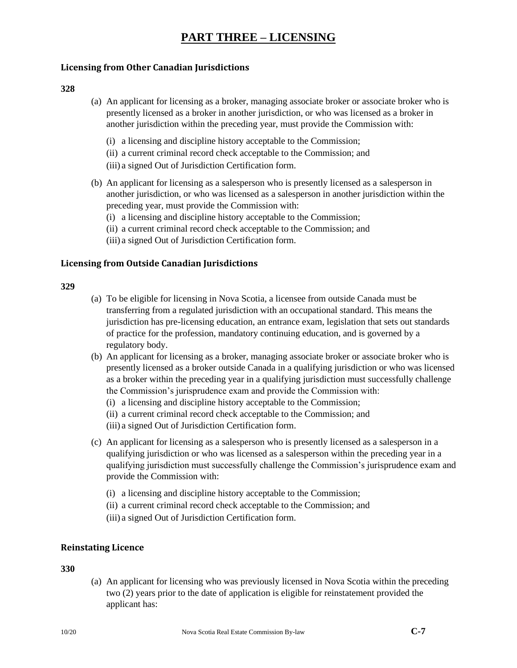### **Licensing from Other Canadian Jurisdictions**

#### **328**

- (a) An applicant for licensing as a broker, managing associate broker or associate broker who is presently licensed as a broker in another jurisdiction, or who was licensed as a broker in another jurisdiction within the preceding year, must provide the Commission with:
	- (i) a licensing and discipline history acceptable to the Commission;
	- (ii) a current criminal record check acceptable to the Commission; and
	- (iii) a signed Out of Jurisdiction Certification form.
- (b) An applicant for licensing as a salesperson who is presently licensed as a salesperson in another jurisdiction, or who was licensed as a salesperson in another jurisdiction within the preceding year, must provide the Commission with:
	- (i) a licensing and discipline history acceptable to the Commission;
	- (ii) a current criminal record check acceptable to the Commission; and
	- (iii) a signed Out of Jurisdiction Certification form.

### **Licensing from Outside Canadian Jurisdictions**

#### **329**

- (a) To be eligible for licensing in Nova Scotia, a licensee from outside Canada must be transferring from a regulated jurisdiction with an occupational standard. This means the jurisdiction has pre-licensing education, an entrance exam, legislation that sets out standards of practice for the profession, mandatory continuing education, and is governed by a regulatory body.
- (b) An applicant for licensing as a broker, managing associate broker or associate broker who is presently licensed as a broker outside Canada in a qualifying jurisdiction or who was licensed as a broker within the preceding year in a qualifying jurisdiction must successfully challenge the Commission's jurisprudence exam and provide the Commission with:
	- (i) a licensing and discipline history acceptable to the Commission;
	- (ii) a current criminal record check acceptable to the Commission; and
	- (iii) a signed Out of Jurisdiction Certification form.
- (c) An applicant for licensing as a salesperson who is presently licensed as a salesperson in a qualifying jurisdiction or who was licensed as a salesperson within the preceding year in a qualifying jurisdiction must successfully challenge the Commission's jurisprudence exam and provide the Commission with:
	- (i) a licensing and discipline history acceptable to the Commission;
	- (ii) a current criminal record check acceptable to the Commission; and
	- (iii) a signed Out of Jurisdiction Certification form.

# **Reinstating Licence**

### **330**

(a) An applicant for licensing who was previously licensed in Nova Scotia within the preceding two (2) years prior to the date of application is eligible for reinstatement provided the applicant has: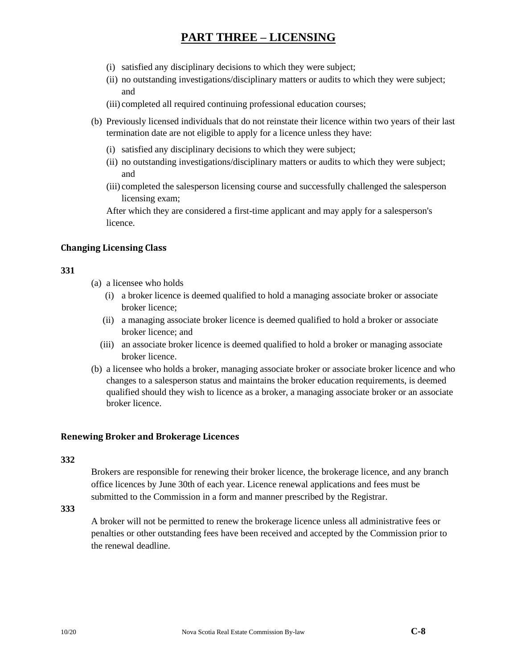- (i) satisfied any disciplinary decisions to which they were subject;
- (ii) no outstanding investigations/disciplinary matters or audits to which they were subject; and
- (iii) completed all required continuing professional education courses;
- (b) Previously licensed individuals that do not reinstate their licence within two years of their last termination date are not eligible to apply for a licence unless they have:
	- (i) satisfied any disciplinary decisions to which they were subject;
	- (ii) no outstanding investigations/disciplinary matters or audits to which they were subject; and
	- (iii) completed the salesperson licensing course and successfully challenged the salesperson licensing exam;

After which they are considered a first-time applicant and may apply for a salesperson's licence.

## **Changing Licensing Class**

### **331**

- (a) a licensee who holds
	- (i) a broker licence is deemed qualified to hold a managing associate broker or associate broker licence;
	- (ii) a managing associate broker licence is deemed qualified to hold a broker or associate broker licence; and
	- (iii) an associate broker licence is deemed qualified to hold a broker or managing associate broker licence.
- (b) a licensee who holds a broker, managing associate broker or associate broker licence and who changes to a salesperson status and maintains the broker education requirements, is deemed qualified should they wish to licence as a broker, a managing associate broker or an associate broker licence.

#### **Renewing Broker and Brokerage Licences**

#### **332**

Brokers are responsible for renewing their broker licence, the brokerage licence, and any branch office licences by June 30th of each year. Licence renewal applications and fees must be submitted to the Commission in a form and manner prescribed by the Registrar.

**333**

A broker will not be permitted to renew the brokerage licence unless all administrative fees or penalties or other outstanding fees have been received and accepted by the Commission prior to the renewal deadline.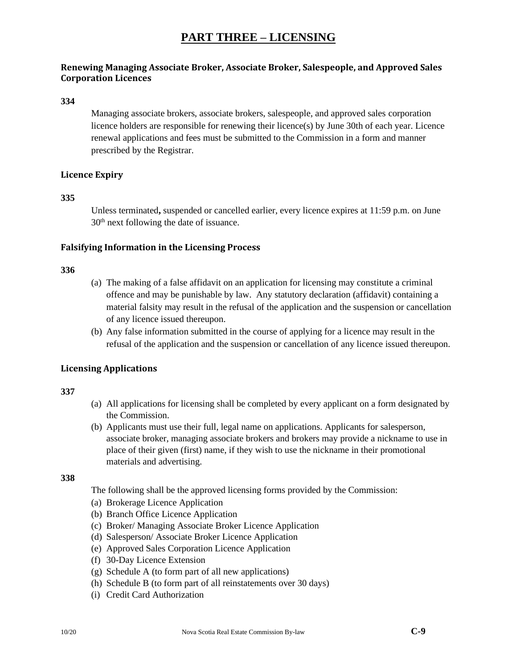# **Renewing Managing Associate Broker, Associate Broker, Salespeople, and Approved Sales Corporation Licences**

#### **334**

Managing associate brokers, associate brokers, salespeople, and approved sales corporation licence holders are responsible for renewing their licence(s) by June 30th of each year. Licence renewal applications and fees must be submitted to the Commission in a form and manner prescribed by the Registrar.

### **Licence Expiry**

#### **335**

Unless terminated**,** suspended or cancelled earlier, every licence expires at 11:59 p.m. on June 30th next following the date of issuance.

#### **Falsifying Information in the Licensing Process**

#### **336**

- (a) The making of a false affidavit on an application for licensing may constitute a criminal offence and may be punishable by law. Any statutory declaration (affidavit) containing a material falsity may result in the refusal of the application and the suspension or cancellation of any licence issued thereupon.
- (b) Any false information submitted in the course of applying for a licence may result in the refusal of the application and the suspension or cancellation of any licence issued thereupon.

#### **Licensing Applications**

#### **337**

- (a) All applications for licensing shall be completed by every applicant on a form designated by the Commission.
- (b) Applicants must use their full, legal name on applications. Applicants for salesperson, associate broker, managing associate brokers and brokers may provide a nickname to use in place of their given (first) name, if they wish to use the nickname in their promotional materials and advertising.

#### **338**

The following shall be the approved licensing forms provided by the Commission:

- (a) Brokerage Licence Application
- (b) Branch Office Licence Application
- (c) Broker/ Managing Associate Broker Licence Application
- (d) Salesperson/ Associate Broker Licence Application
- (e) Approved Sales Corporation Licence Application
- (f) 30-Day Licence Extension
- (g) Schedule A (to form part of all new applications)
- (h) Schedule B (to form part of all reinstatements over 30 days)
- (i) Credit Card Authorization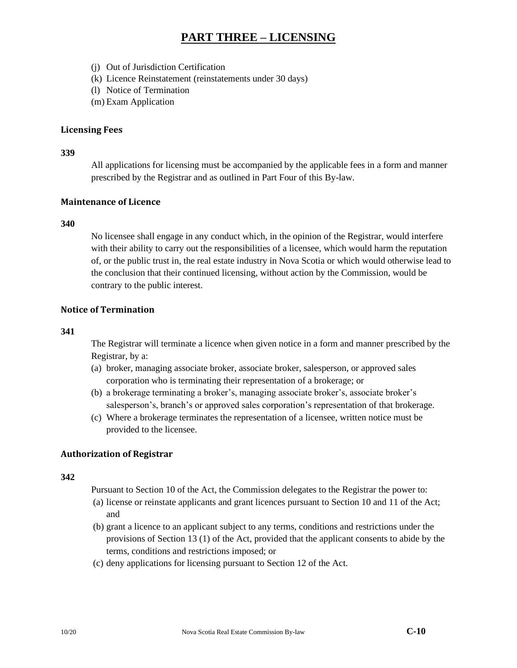- (j) Out of Jurisdiction Certification
- (k) Licence Reinstatement (reinstatements under 30 days)
- (l) Notice of Termination
- (m) Exam Application

### **Licensing Fees**

#### **339**

All applications for licensing must be accompanied by the applicable fees in a form and manner prescribed by the Registrar and as outlined in Part Four of this By-law.

### **Maintenance of Licence**

### **340**

No licensee shall engage in any conduct which, in the opinion of the Registrar, would interfere with their ability to carry out the responsibilities of a licensee, which would harm the reputation of, or the public trust in, the real estate industry in Nova Scotia or which would otherwise lead to the conclusion that their continued licensing, without action by the Commission, would be contrary to the public interest.

### **Notice of Termination**

#### **341**

The Registrar will terminate a licence when given notice in a form and manner prescribed by the Registrar, by a:

- (a) broker, managing associate broker, associate broker, salesperson, or approved sales corporation who is terminating their representation of a brokerage; or
- (b) a brokerage terminating a broker's, managing associate broker's, associate broker's salesperson's, branch's or approved sales corporation's representation of that brokerage.
- (c) Where a brokerage terminates the representation of a licensee, written notice must be provided to the licensee.

### **Authorization of Registrar**

#### **342**

Pursuant to Section 10 of the Act, the Commission delegates to the Registrar the power to:

- (a) license or reinstate applicants and grant licences pursuant to Section 10 and 11 of the Act; and
- (b) grant a licence to an applicant subject to any terms, conditions and restrictions under the provisions of Section 13 (1) of the Act, provided that the applicant consents to abide by the terms, conditions and restrictions imposed; or
- (c) deny applications for licensing pursuant to Section 12 of the Act.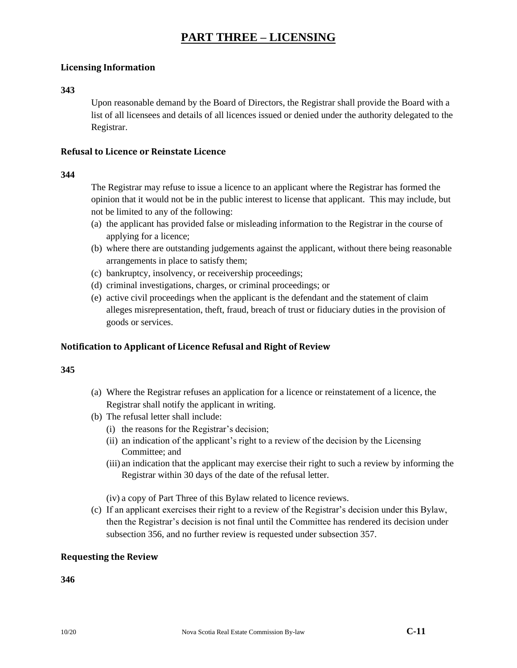### **Licensing Information**

#### **343**

Upon reasonable demand by the Board of Directors, the Registrar shall provide the Board with a list of all licensees and details of all licences issued or denied under the authority delegated to the Registrar.

#### **Refusal to Licence or Reinstate Licence**

#### **344**

The Registrar may refuse to issue a licence to an applicant where the Registrar has formed the opinion that it would not be in the public interest to license that applicant. This may include, but not be limited to any of the following:

- (a) the applicant has provided false or misleading information to the Registrar in the course of applying for a licence;
- (b) where there are outstanding judgements against the applicant, without there being reasonable arrangements in place to satisfy them;
- (c) bankruptcy, insolvency, or receivership proceedings;
- (d) criminal investigations, charges, or criminal proceedings; or
- (e) active civil proceedings when the applicant is the defendant and the statement of claim alleges misrepresentation, theft, fraud, breach of trust or fiduciary duties in the provision of goods or services.

### **Notification to Applicant of Licence Refusal and Right of Review**

#### **345**

- (a) Where the Registrar refuses an application for a licence or reinstatement of a licence, the Registrar shall notify the applicant in writing.
- (b) The refusal letter shall include:
	- (i) the reasons for the Registrar's decision;
	- (ii) an indication of the applicant's right to a review of the decision by the Licensing Committee; and
	- (iii) an indication that the applicant may exercise their right to such a review by informing the Registrar within 30 days of the date of the refusal letter.

(iv) a copy of Part Three of this Bylaw related to licence reviews.

(c) If an applicant exercises their right to a review of the Registrar's decision under this Bylaw, then the Registrar's decision is not final until the Committee has rendered its decision under subsection 356, and no further review is requested under subsection 357.

### **Requesting the Review**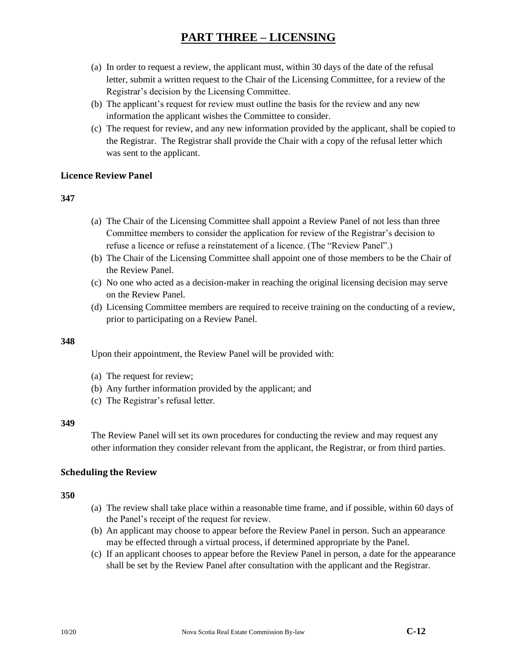- (a) In order to request a review, the applicant must, within 30 days of the date of the refusal letter, submit a written request to the Chair of the Licensing Committee, for a review of the Registrar's decision by the Licensing Committee.
- (b) The applicant's request for review must outline the basis for the review and any new information the applicant wishes the Committee to consider.
- (c) The request for review, and any new information provided by the applicant, shall be copied to the Registrar. The Registrar shall provide the Chair with a copy of the refusal letter which was sent to the applicant.

### **Licence Review Panel**

### **347**

- (a) The Chair of the Licensing Committee shall appoint a Review Panel of not less than three Committee members to consider the application for review of the Registrar's decision to refuse a licence or refuse a reinstatement of a licence. (The "Review Panel".)
- (b) The Chair of the Licensing Committee shall appoint one of those members to be the Chair of the Review Panel.
- (c) No one who acted as a decision-maker in reaching the original licensing decision may serve on the Review Panel.
- (d) Licensing Committee members are required to receive training on the conducting of a review, prior to participating on a Review Panel.

### **348**

Upon their appointment, the Review Panel will be provided with:

- (a) The request for review;
- (b) Any further information provided by the applicant; and
- (c) The Registrar's refusal letter.

#### **349**

The Review Panel will set its own procedures for conducting the review and may request any other information they consider relevant from the applicant, the Registrar, or from third parties.

### **Scheduling the Review**

- (a) The review shall take place within a reasonable time frame, and if possible, within 60 days of the Panel's receipt of the request for review.
- (b) An applicant may choose to appear before the Review Panel in person. Such an appearance may be effected through a virtual process, if determined appropriate by the Panel.
- (c) If an applicant chooses to appear before the Review Panel in person, a date for the appearance shall be set by the Review Panel after consultation with the applicant and the Registrar.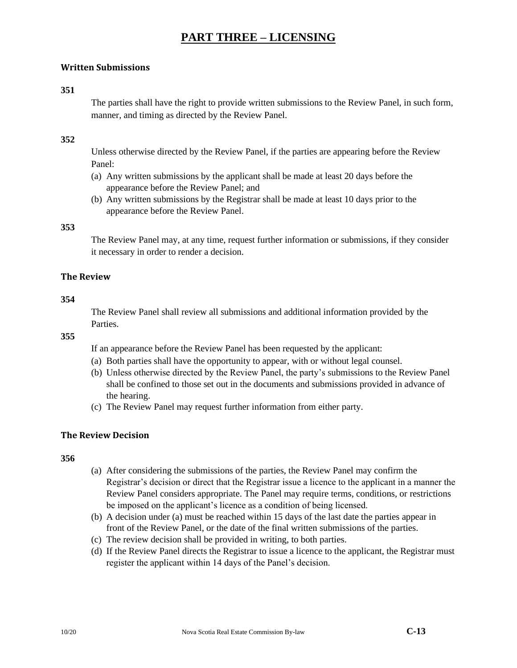### **Written Submissions**

#### **351**

The parties shall have the right to provide written submissions to the Review Panel, in such form, manner, and timing as directed by the Review Panel.

#### **352**

Unless otherwise directed by the Review Panel, if the parties are appearing before the Review Panel:

- (a) Any written submissions by the applicant shall be made at least 20 days before the appearance before the Review Panel; and
- (b) Any written submissions by the Registrar shall be made at least 10 days prior to the appearance before the Review Panel.

#### **353**

The Review Panel may, at any time, request further information or submissions, if they consider it necessary in order to render a decision.

#### **The Review**

#### **354**

The Review Panel shall review all submissions and additional information provided by the **Parties** 

**355**

If an appearance before the Review Panel has been requested by the applicant:

- (a) Both parties shall have the opportunity to appear, with or without legal counsel.
- (b) Unless otherwise directed by the Review Panel, the party's submissions to the Review Panel shall be confined to those set out in the documents and submissions provided in advance of the hearing.
- (c) The Review Panel may request further information from either party.

#### **The Review Decision**

- (a) After considering the submissions of the parties, the Review Panel may confirm the Registrar's decision or direct that the Registrar issue a licence to the applicant in a manner the Review Panel considers appropriate. The Panel may require terms, conditions, or restrictions be imposed on the applicant's licence as a condition of being licensed.
- (b) A decision under (a) must be reached within 15 days of the last date the parties appear in front of the Review Panel, or the date of the final written submissions of the parties.
- (c) The review decision shall be provided in writing, to both parties.
- (d) If the Review Panel directs the Registrar to issue a licence to the applicant, the Registrar must register the applicant within 14 days of the Panel's decision.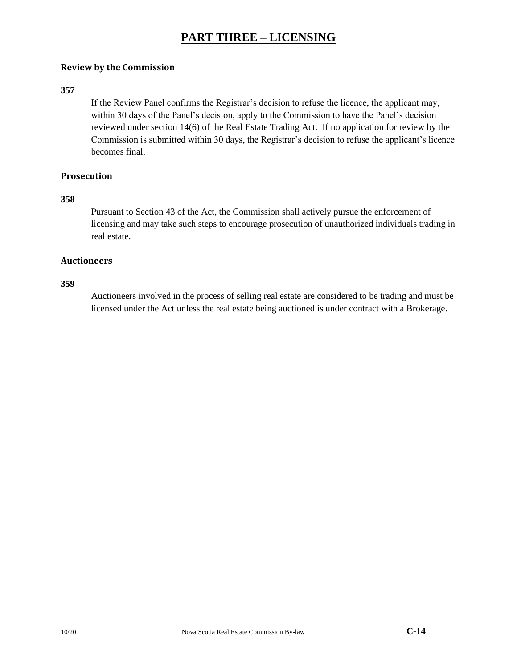### **Review by the Commission**

### **357**

If the Review Panel confirms the Registrar's decision to refuse the licence, the applicant may, within 30 days of the Panel's decision, apply to the Commission to have the Panel's decision reviewed under section 14(6) of the Real Estate Trading Act. If no application for review by the Commission is submitted within 30 days, the Registrar's decision to refuse the applicant's licence becomes final.

# **Prosecution**

#### **358**

Pursuant to Section 43 of the Act, the Commission shall actively pursue the enforcement of licensing and may take such steps to encourage prosecution of unauthorized individuals trading in real estate.

#### **Auctioneers**

#### **359**

Auctioneers involved in the process of selling real estate are considered to be trading and must be licensed under the Act unless the real estate being auctioned is under contract with a Brokerage.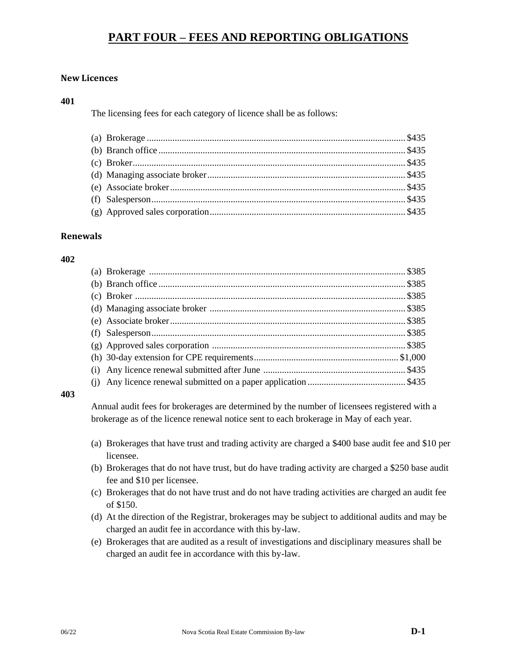# **PART FOUR – FEES AND REPORTING OBLIGATIONS**

### **New Licences**

#### **401**

The licensing fees for each category of licence shall be as follows:

### **Renewals**

#### **402**

#### **403**

Annual audit fees for brokerages are determined by the number of licensees registered with a brokerage as of the licence renewal notice sent to each brokerage in May of each year.

- (a) Brokerages that have trust and trading activity are charged a \$400 base audit fee and \$10 per licensee.
- (b) Brokerages that do not have trust, but do have trading activity are charged a \$250 base audit fee and \$10 per licensee.
- (c) Brokerages that do not have trust and do not have trading activities are charged an audit fee of \$150.
- (d) At the direction of the Registrar, brokerages may be subject to additional audits and may be charged an audit fee in accordance with this by-law.
- (e) Brokerages that are audited as a result of investigations and disciplinary measures shall be charged an audit fee in accordance with this by-law.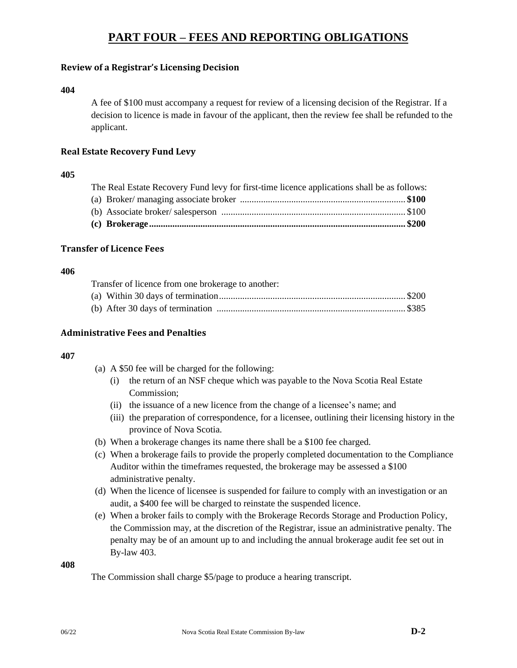# **PART FOUR – FEES AND REPORTING OBLIGATIONS**

### **Review of a Registrar's Licensing Decision**

#### **404**

A fee of \$100 must accompany a request for review of a licensing decision of the Registrar. If a decision to licence is made in favour of the applicant, then the review fee shall be refunded to the applicant.

### **Real Estate Recovery Fund Levy**

#### **405**

| The Real Estate Recovery Fund levy for first-time licence applications shall be as follows: |  |  |  |  |
|---------------------------------------------------------------------------------------------|--|--|--|--|
|                                                                                             |  |  |  |  |
|                                                                                             |  |  |  |  |
|                                                                                             |  |  |  |  |

### **Transfer of Licence Fees**

#### **406**

Transfer of licence from one brokerage to another:

### **Administrative Fees and Penalties**

### **407**

- (a) A \$50 fee will be charged for the following:
	- (i) the return of an NSF cheque which was payable to the Nova Scotia Real Estate Commission;
	- (ii) the issuance of a new licence from the change of a licensee's name; and
	- (iii) the preparation of correspondence, for a licensee, outlining their licensing history in the province of Nova Scotia.
- (b) When a brokerage changes its name there shall be a \$100 fee charged.
- (c) When a brokerage fails to provide the properly completed documentation to the Compliance Auditor within the timeframes requested, the brokerage may be assessed a \$100 administrative penalty.
- (d) When the licence of licensee is suspended for failure to comply with an investigation or an audit, a \$400 fee will be charged to reinstate the suspended licence.
- (e) When a broker fails to comply with the Brokerage Records Storage and Production Policy, the Commission may, at the discretion of the Registrar, issue an administrative penalty. The penalty may be of an amount up to and including the annual brokerage audit fee set out in By-law 403.

#### **408**

The Commission shall charge \$5/page to produce a hearing transcript.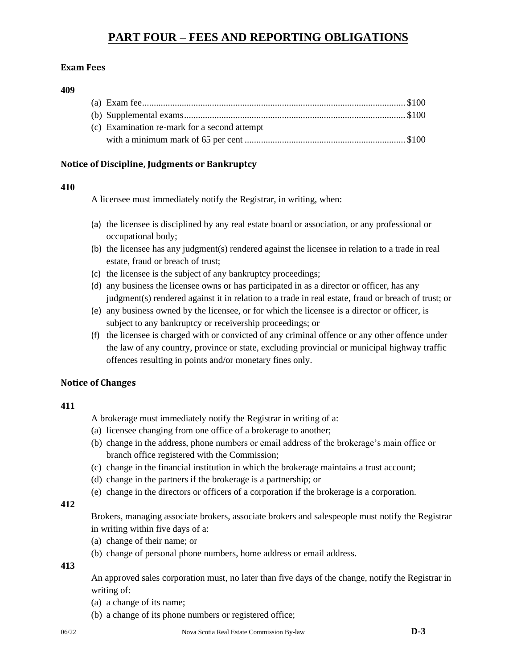# **PART FOUR – FEES AND REPORTING OBLIGATIONS**

## **Exam Fees**

#### **409**

| (c) Examination re-mark for a second attempt |  |
|----------------------------------------------|--|
|                                              |  |

## **Notice of Discipline, Judgments or Bankruptcy**

## **410**

A licensee must immediately notify the Registrar, in writing, when:

- (a) the licensee is disciplined by any real estate board or association, or any professional or occupational body;
- (b) the licensee has any judgment(s) rendered against the licensee in relation to a trade in real estate, fraud or breach of trust;
- (c) the licensee is the subject of any bankruptcy proceedings;
- (d) any business the licensee owns or has participated in as a director or officer, has any judgment(s) rendered against it in relation to a trade in real estate, fraud or breach of trust; or
- (e) any business owned by the licensee, or for which the licensee is a director or officer, is subject to any bankruptcy or receivership proceedings; or
- (f) the licensee is charged with or convicted of any criminal offence or any other offence under the law of any country, province or state, excluding provincial or municipal highway traffic offences resulting in points and/or monetary fines only.

## **Notice of Changes**

## **411**

A brokerage must immediately notify the Registrar in writing of a:

- (a) licensee changing from one office of a brokerage to another;
- (b) change in the address, phone numbers or email address of the brokerage's main office or branch office registered with the Commission;
- (c) change in the financial institution in which the brokerage maintains a trust account;
- (d) change in the partners if the brokerage is a partnership; or
- (e) change in the directors or officers of a corporation if the brokerage is a corporation.

## **412**

Brokers, managing associate brokers, associate brokers and salespeople must notify the Registrar in writing within five days of a:

- (a) change of their name; or
- (b) change of personal phone numbers, home address or email address.

**413**

An approved sales corporation must, no later than five days of the change, notify the Registrar in writing of:

- (a) a change of its name;
- (b) a change of its phone numbers or registered office;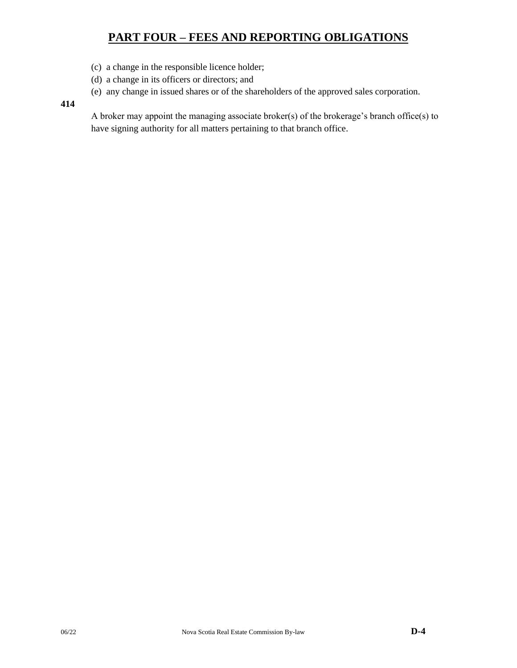# **PART FOUR – FEES AND REPORTING OBLIGATIONS**

- (c) a change in the responsible licence holder;
- (d) a change in its officers or directors; and
- (e) any change in issued shares or of the shareholders of the approved sales corporation.

## **414**

A broker may appoint the managing associate broker(s) of the brokerage's branch office(s) to have signing authority for all matters pertaining to that branch office.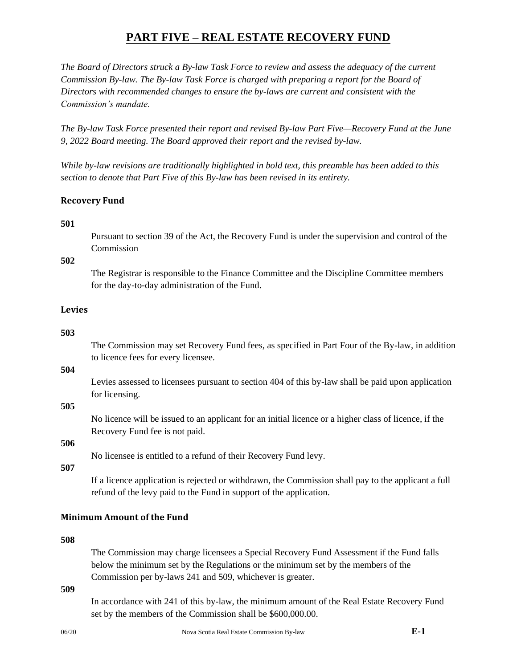*The Board of Directors struck a By-law Task Force to review and assess the adequacy of the current Commission By-law. The By-law Task Force is charged with preparing a report for the Board of Directors with recommended changes to ensure the by-laws are current and consistent with the Commission's mandate.*

*The By-law Task Force presented their report and revised By-law Part Five—Recovery Fund at the June 9, 2022 Board meeting. The Board approved their report and the revised by-law.*

*While by-law revisions are traditionally highlighted in bold text, this preamble has been added to this section to denote that Part Five of this By-law has been revised in its entirety.*

## **Recovery Fund**

## **501**

Pursuant to section 39 of the Act, the Recovery Fund is under the supervision and control of the Commission

## **502**

The Registrar is responsible to the Finance Committee and the Discipline Committee members for the day-to-day administration of the Fund.

## **Levies**

#### **503**

The Commission may set Recovery Fund fees, as specified in Part Four of the By-law, in addition to licence fees for every licensee.

#### **504**

Levies assessed to licensees pursuant to section 404 of this by-law shall be paid upon application for licensing.

#### **505**

No licence will be issued to an applicant for an initial licence or a higher class of licence, if the Recovery Fund fee is not paid.

# **506**

No licensee is entitled to a refund of their Recovery Fund levy.

## **507**

If a licence application is rejected or withdrawn, the Commission shall pay to the applicant a full refund of the levy paid to the Fund in support of the application.

## **Minimum Amount of the Fund**

#### **508**

The Commission may charge licensees a Special Recovery Fund Assessment if the Fund falls below the minimum set by the Regulations or the minimum set by the members of the Commission per by-laws 241 and 509, whichever is greater.

#### **509**

In accordance with 241 of this by-law, the minimum amount of the Real Estate Recovery Fund set by the members of the Commission shall be  $$600,000.00$ .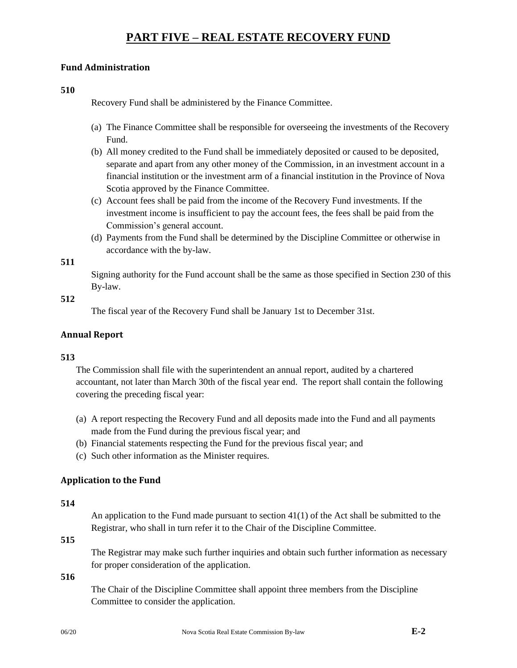## **Fund Administration**

**510**

Recovery Fund shall be administered by the Finance Committee.

- (a) The Finance Committee shall be responsible for overseeing the investments of the Recovery Fund.
- (b) All money credited to the Fund shall be immediately deposited or caused to be deposited, separate and apart from any other money of the Commission, in an investment account in a financial institution or the investment arm of a financial institution in the Province of Nova Scotia approved by the Finance Committee.
- (c) Account fees shall be paid from the income of the Recovery Fund investments. If the investment income is insufficient to pay the account fees, the fees shall be paid from the Commission's general account.
- (d) Payments from the Fund shall be determined by the Discipline Committee or otherwise in accordance with the by-law.

## **511**

Signing authority for the Fund account shall be the same as those specified in Section 230 of this By-law.

### **512**

The fiscal year of the Recovery Fund shall be January 1st to December 31st.

## **Annual Report**

## **513**

The Commission shall file with the superintendent an annual report, audited by a chartered accountant, not later than March 30th of the fiscal year end. The report shall contain the following covering the preceding fiscal year:

- (a) A report respecting the Recovery Fund and all deposits made into the Fund and all payments made from the Fund during the previous fiscal year; and
- (b) Financial statements respecting the Fund for the previous fiscal year; and
- (c) Such other information as the Minister requires.

## **Application to the Fund**

#### **514**

An application to the Fund made pursuant to section  $41(1)$  of the Act shall be submitted to the Registrar, who shall in turn refer it to the Chair of the Discipline Committee.

## **515**

The Registrar may make such further inquiries and obtain such further information as necessary for proper consideration of the application.

## **516**

The Chair of the Discipline Committee shall appoint three members from the Discipline Committee to consider the application.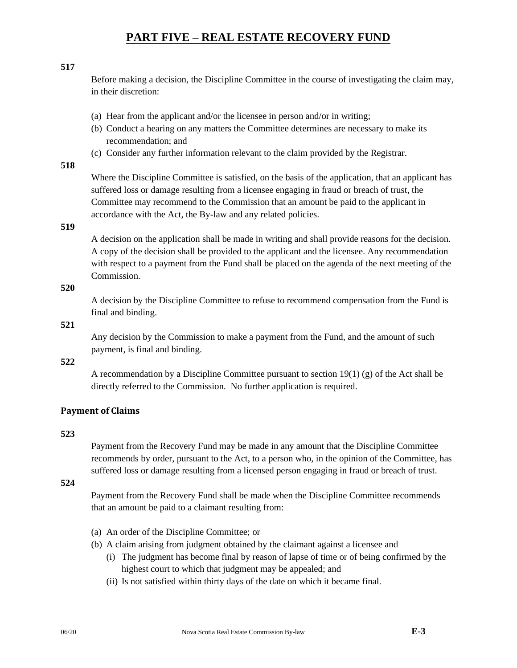## **517**

Before making a decision, the Discipline Committee in the course of investigating the claim may, in their discretion:

## (a) Hear from the applicant and/or the licensee in person and/or in writing;

- (b) Conduct a hearing on any matters the Committee determines are necessary to make its recommendation; and
- (c) Consider any further information relevant to the claim provided by the Registrar.

## **518**

Where the Discipline Committee is satisfied, on the basis of the application, that an applicant has suffered loss or damage resulting from a licensee engaging in fraud or breach of trust, the Committee may recommend to the Commission that an amount be paid to the applicant in accordance with the Act, the By-law and any related policies.

## **519**

A decision on the application shall be made in writing and shall provide reasons for the decision. A copy of the decision shall be provided to the applicant and the licensee. Any recommendation with respect to a payment from the Fund shall be placed on the agenda of the next meeting of the Commission.

## **520**

A decision by the Discipline Committee to refuse to recommend compensation from the Fund is final and binding.

## **521**

Any decision by the Commission to make a payment from the Fund, and the amount of such payment, is final and binding.

### **522**

A recommendation by a Discipline Committee pursuant to section 19(1) (g) of the Act shall be directly referred to the Commission. No further application is required.

## **Payment of Claims**

## **523**

Payment from the Recovery Fund may be made in any amount that the Discipline Committee recommends by order, pursuant to the Act, to a person who, in the opinion of the Committee, has suffered loss or damage resulting from a licensed person engaging in fraud or breach of trust.

## **524**

Payment from the Recovery Fund shall be made when the Discipline Committee recommends that an amount be paid to a claimant resulting from:

- (a) An order of the Discipline Committee; or
- (b) A claim arising from judgment obtained by the claimant against a licensee and
	- (i) The judgment has become final by reason of lapse of time or of being confirmed by the highest court to which that judgment may be appealed; and
	- (ii) Is not satisfied within thirty days of the date on which it became final.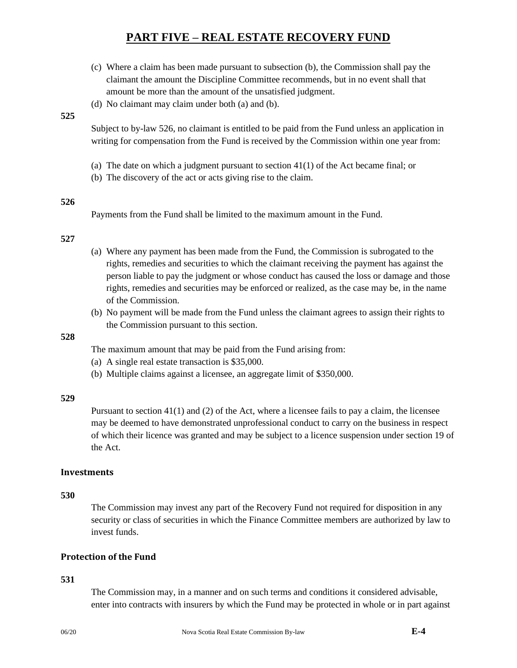- (c) Where a claim has been made pursuant to subsection (b), the Commission shall pay the claimant the amount the Discipline Committee recommends, but in no event shall that amount be more than the amount of the unsatisfied judgment.
- (d) No claimant may claim under both (a) and (b).

#### **525**

Subject to by-law 526, no claimant is entitled to be paid from the Fund unless an application in writing for compensation from the Fund is received by the Commission within one year from:

- (a) The date on which a judgment pursuant to section 41(1) of the Act became final; or
- (b) The discovery of the act or acts giving rise to the claim.

#### **526**

Payments from the Fund shall be limited to the maximum amount in the Fund.

#### **527**

- (a) Where any payment has been made from the Fund, the Commission is subrogated to the rights, remedies and securities to which the claimant receiving the payment has against the person liable to pay the judgment or whose conduct has caused the loss or damage and those rights, remedies and securities may be enforced or realized, as the case may be, in the name of the Commission.
- (b) No payment will be made from the Fund unless the claimant agrees to assign their rights to the Commission pursuant to this section.

#### **528**

The maximum amount that may be paid from the Fund arising from:

- (a) A single real estate transaction is \$35,000.
- (b) Multiple claims against a licensee, an aggregate limit of \$350,000.

#### **529**

Pursuant to section 41(1) and (2) of the Act, where a licensee fails to pay a claim, the licensee may be deemed to have demonstrated unprofessional conduct to carry on the business in respect of which their licence was granted and may be subject to a licence suspension under section 19 of the Act.

#### **Investments**

#### **530**

The Commission may invest any part of the Recovery Fund not required for disposition in any security or class of securities in which the Finance Committee members are authorized by law to invest funds.

## **Protection of the Fund**

## **531**

The Commission may, in a manner and on such terms and conditions it considered advisable, enter into contracts with insurers by which the Fund may be protected in whole or in part against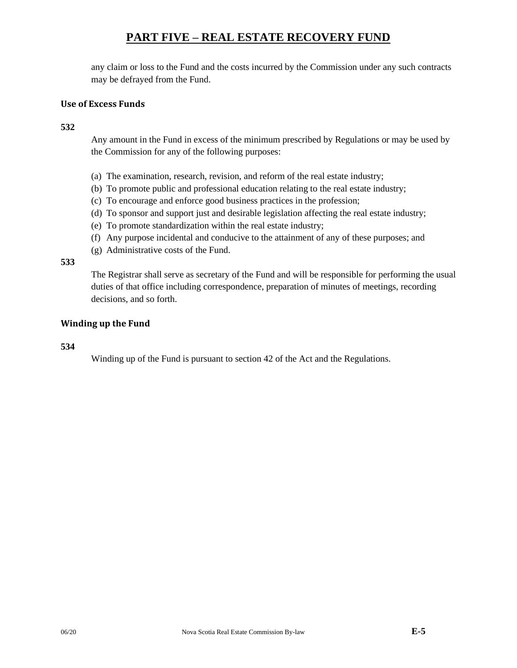any claim or loss to the Fund and the costs incurred by the Commission under any such contracts may be defrayed from the Fund.

## **Use of Excess Funds**

**532**

Any amount in the Fund in excess of the minimum prescribed by Regulations or may be used by the Commission for any of the following purposes:

- (a) The examination, research, revision, and reform of the real estate industry;
- (b) To promote public and professional education relating to the real estate industry;
- (c) To encourage and enforce good business practices in the profession;
- (d) To sponsor and support just and desirable legislation affecting the real estate industry;
- (e) To promote standardization within the real estate industry;
- (f) Any purpose incidental and conducive to the attainment of any of these purposes; and
- (g) Administrative costs of the Fund.

**533**

The Registrar shall serve as secretary of the Fund and will be responsible for performing the usual duties of that office including correspondence, preparation of minutes of meetings, recording decisions, and so forth.

## **Winding up the Fund**

#### **534**

Winding up of the Fund is pursuant to section 42 of the Act and the Regulations.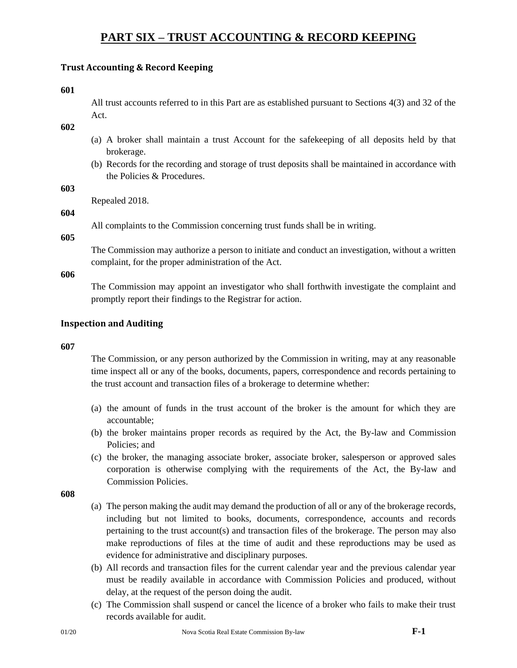## **Trust Accounting & Record Keeping**

**601**

All trust accounts referred to in this Part are as established pursuant to Sections 4(3) and 32 of the Act.

**602**

- (a) A broker shall maintain a trust Account for the safekeeping of all deposits held by that brokerage.
- (b) Records for the recording and storage of trust deposits shall be maintained in accordance with the Policies & Procedures.

**603**

Repealed 2018.

## **604**

All complaints to the Commission concerning trust funds shall be in writing.

**605**

The Commission may authorize a person to initiate and conduct an investigation, without a written complaint, for the proper administration of the Act.

**606**

The Commission may appoint an investigator who shall forthwith investigate the complaint and promptly report their findings to the Registrar for action.

## **Inspection and Auditing**

#### **607**

The Commission, or any person authorized by the Commission in writing, may at any reasonable time inspect all or any of the books, documents, papers, correspondence and records pertaining to the trust account and transaction files of a brokerage to determine whether:

- (a) the amount of funds in the trust account of the broker is the amount for which they are accountable;
- (b) the broker maintains proper records as required by the Act, the By-law and Commission Policies; and
- (c) the broker, the managing associate broker, associate broker, salesperson or approved sales corporation is otherwise complying with the requirements of the Act, the By-law and Commission Policies.

- (a) The person making the audit may demand the production of all or any of the brokerage records, including but not limited to books, documents, correspondence, accounts and records pertaining to the trust account(s) and transaction files of the brokerage. The person may also make reproductions of files at the time of audit and these reproductions may be used as evidence for administrative and disciplinary purposes.
- (b) All records and transaction files for the current calendar year and the previous calendar year must be readily available in accordance with Commission Policies and produced, without delay, at the request of the person doing the audit.
- (c) The Commission shall suspend or cancel the licence of a broker who fails to make their trust records available for audit.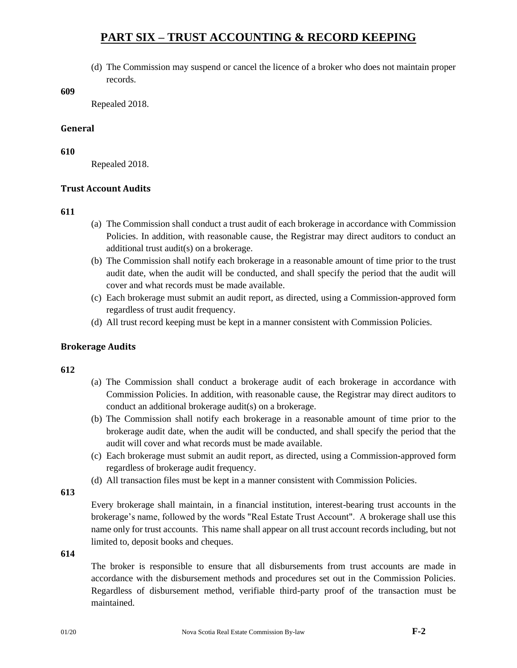(d) The Commission may suspend or cancel the licence of a broker who does not maintain proper records.

**609**

Repealed 2018.

### **General**

**610**

Repealed 2018.

## **Trust Account Audits**

#### **611**

- (a) The Commission shall conduct a trust audit of each brokerage in accordance with Commission Policies. In addition, with reasonable cause, the Registrar may direct auditors to conduct an additional trust audit(s) on a brokerage.
- (b) The Commission shall notify each brokerage in a reasonable amount of time prior to the trust audit date, when the audit will be conducted, and shall specify the period that the audit will cover and what records must be made available.
- (c) Each brokerage must submit an audit report, as directed, using a Commission-approved form regardless of trust audit frequency.
- (d) All trust record keeping must be kept in a manner consistent with Commission Policies.

## **Brokerage Audits**

#### **612**

- (a) The Commission shall conduct a brokerage audit of each brokerage in accordance with Commission Policies. In addition, with reasonable cause, the Registrar may direct auditors to conduct an additional brokerage audit(s) on a brokerage.
- (b) The Commission shall notify each brokerage in a reasonable amount of time prior to the brokerage audit date, when the audit will be conducted, and shall specify the period that the audit will cover and what records must be made available.
- (c) Each brokerage must submit an audit report, as directed, using a Commission-approved form regardless of brokerage audit frequency.
- (d) All transaction files must be kept in a manner consistent with Commission Policies.

**613**

Every brokerage shall maintain, in a financial institution, interest-bearing trust accounts in the brokerage's name, followed by the words "Real Estate Trust Account". A brokerage shall use this name only for trust accounts. This name shall appear on all trust account records including, but not limited to, deposit books and cheques.

**614**

The broker is responsible to ensure that all disbursements from trust accounts are made in accordance with the disbursement methods and procedures set out in the Commission Policies. Regardless of disbursement method, verifiable third-party proof of the transaction must be maintained.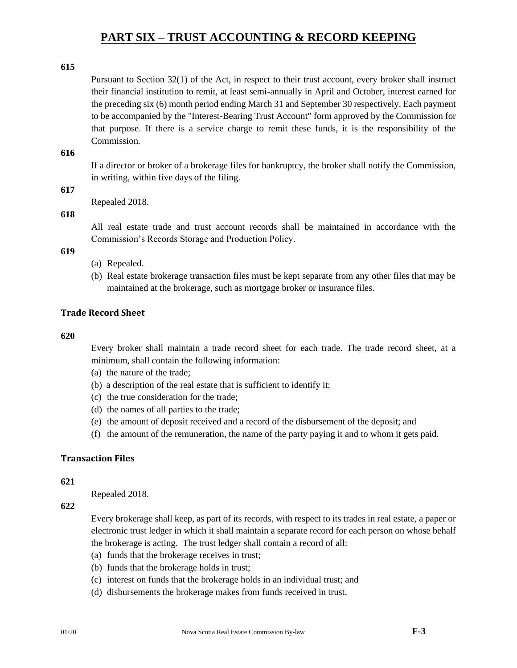## **615**

Pursuant to Section 32(1) of the Act, in respect to their trust account, every broker shall instruct their financial institution to remit, at least semi-annually in April and October, interest earned for the preceding six (6) month period ending March 31 and September 30 respectively. Each payment to be accompanied by the "Interest-Bearing Trust Account" form approved by the Commission for that purpose. If there is a service charge to remit these funds, it is the responsibility of the Commission.

#### **616**

If a director or broker of a brokerage files for bankruptcy, the broker shall notify the Commission, in writing, within five days of the filing.

## **617**

Repealed 2018.

## **618**

All real estate trade and trust account records shall be maintained in accordance with the Commission's Records Storage and Production Policy.

## **619**

- (a) Repealed.
- (b) Real estate brokerage transaction files must be kept separate from any other files that may be maintained at the brokerage, such as mortgage broker or insurance files.

## **Trade Record Sheet**

#### **620**

Every broker shall maintain a trade record sheet for each trade. The trade record sheet, at a minimum, shall contain the following information:

- (a) the nature of the trade;
- (b) a description of the real estate that is sufficient to identify it;
- (c) the true consideration for the trade;
- (d) the names of all parties to the trade;
- (e) the amount of deposit received and a record of the disbursement of the deposit; and
- (f) the amount of the remuneration, the name of the party paying it and to whom it gets paid.

### **Transaction Files**

#### **621**

Repealed 2018.

**622**

Every brokerage shall keep, as part of its records, with respect to its trades in real estate, a paper or electronic trust ledger in which it shall maintain a separate record for each person on whose behalf the brokerage is acting. The trust ledger shall contain a record of all:

- (a) funds that the brokerage receives in trust;
- (b) funds that the brokerage holds in trust;
- (c) interest on funds that the brokerage holds in an individual trust; and
- (d) disbursements the brokerage makes from funds received in trust.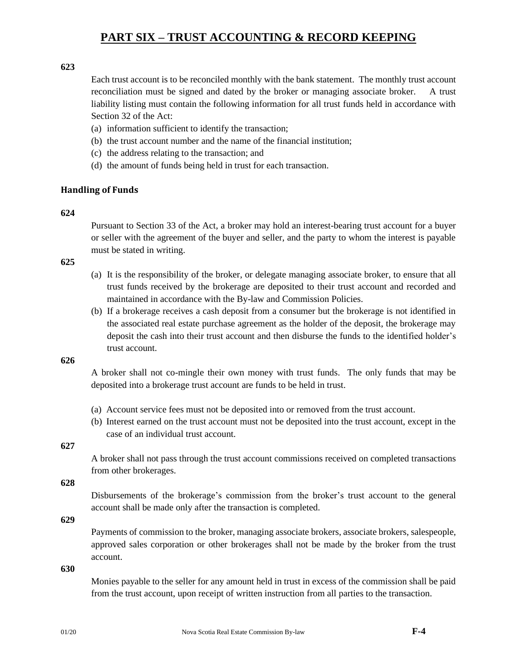## **623**

Each trust account is to be reconciled monthly with the bank statement. The monthly trust account reconciliation must be signed and dated by the broker or managing associate broker. A trust liability listing must contain the following information for all trust funds held in accordance with Section 32 of the Act:

- (a) information sufficient to identify the transaction;
- (b) the trust account number and the name of the financial institution;
- (c) the address relating to the transaction; and
- (d) the amount of funds being held in trust for each transaction.

## **Handling of Funds**

## **624**

Pursuant to Section 33 of the Act, a broker may hold an interest-bearing trust account for a buyer or seller with the agreement of the buyer and seller, and the party to whom the interest is payable must be stated in writing.

## **625**

- (a) It is the responsibility of the broker, or delegate managing associate broker, to ensure that all trust funds received by the brokerage are deposited to their trust account and recorded and maintained in accordance with the By-law and Commission Policies.
- (b) If a brokerage receives a cash deposit from a consumer but the brokerage is not identified in the associated real estate purchase agreement as the holder of the deposit, the brokerage may deposit the cash into their trust account and then disburse the funds to the identified holder's trust account.

**626**

A broker shall not co-mingle their own money with trust funds. The only funds that may be deposited into a brokerage trust account are funds to be held in trust.

- (a) Account service fees must not be deposited into or removed from the trust account.
- (b) Interest earned on the trust account must not be deposited into the trust account, except in the case of an individual trust account.

**627**

A broker shall not pass through the trust account commissions received on completed transactions from other brokerages.

**628**

Disbursements of the brokerage's commission from the broker's trust account to the general account shall be made only after the transaction is completed.

**629**

Payments of commission to the broker, managing associate brokers, associate brokers, salespeople, approved sales corporation or other brokerages shall not be made by the broker from the trust account.

**630**

Monies payable to the seller for any amount held in trust in excess of the commission shall be paid from the trust account, upon receipt of written instruction from all parties to the transaction.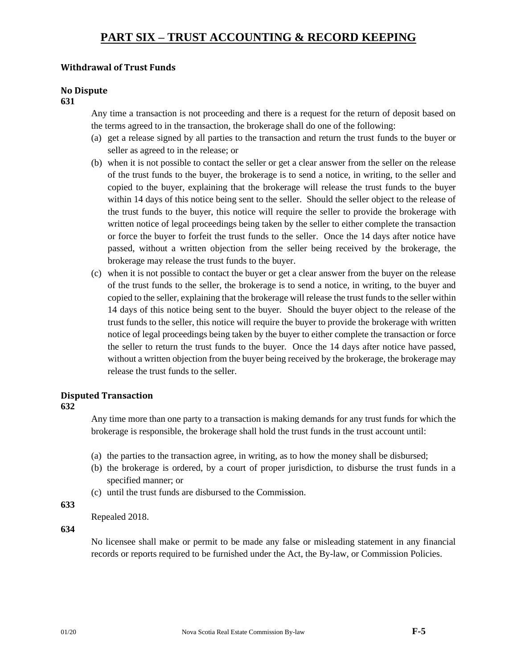# **Withdrawal of Trust Funds**

# **No Dispute**

#### **631**

Any time a transaction is not proceeding and there is a request for the return of deposit based on the terms agreed to in the transaction, the brokerage shall do one of the following:

- (a) get a release signed by all parties to the transaction and return the trust funds to the buyer or seller as agreed to in the release; or
- (b) when it is not possible to contact the seller or get a clear answer from the seller on the release of the trust funds to the buyer, the brokerage is to send a notice, in writing, to the seller and copied to the buyer, explaining that the brokerage will release the trust funds to the buyer within 14 days of this notice being sent to the seller. Should the seller object to the release of the trust funds to the buyer, this notice will require the seller to provide the brokerage with written notice of legal proceedings being taken by the seller to either complete the transaction or force the buyer to forfeit the trust funds to the seller. Once the 14 days after notice have passed, without a written objection from the seller being received by the brokerage, the brokerage may release the trust funds to the buyer.
- (c) when it is not possible to contact the buyer or get a clear answer from the buyer on the release of the trust funds to the seller, the brokerage is to send a notice, in writing, to the buyer and copied to the seller, explaining that the brokerage will release the trust funds to the seller within 14 days of this notice being sent to the buyer. Should the buyer object to the release of the trust funds to the seller, this notice will require the buyer to provide the brokerage with written notice of legal proceedings being taken by the buyer to either complete the transaction or force the seller to return the trust funds to the buyer. Once the 14 days after notice have passed, without a written objection from the buyer being received by the brokerage, the brokerage may release the trust funds to the seller.

## **Disputed Transaction**

## **632**

Any time more than one party to a transaction is making demands for any trust funds for which the brokerage is responsible, the brokerage shall hold the trust funds in the trust account until:

- (a) the parties to the transaction agree, in writing, as to how the money shall be disbursed;
- (b) the brokerage is ordered, by a court of proper jurisdiction, to disburse the trust funds in a specified manner; or
- (c) until the trust funds are disbursed to the Commis**s**ion.

**633**

Repealed 2018.

**634**

No licensee shall make or permit to be made any false or misleading statement in any financial records or reports required to be furnished under the Act, the By-law, or Commission Policies.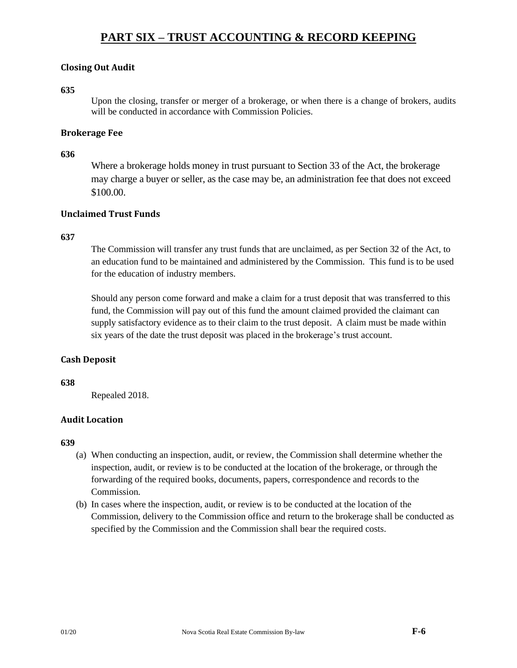## **Closing Out Audit**

## **635**

Upon the closing, transfer or merger of a brokerage, or when there is a change of brokers, audits will be conducted in accordance with Commission Policies.

## **Brokerage Fee**

### **636**

Where a brokerage holds money in trust pursuant to Section 33 of the Act, the brokerage may charge a buyer or seller, as the case may be, an administration fee that does not exceed \$100.00.

## **Unclaimed Trust Funds**

## **637**

The Commission will transfer any trust funds that are unclaimed, as per Section 32 of the Act, to an education fund to be maintained and administered by the Commission. This fund is to be used for the education of industry members.

Should any person come forward and make a claim for a trust deposit that was transferred to this fund, the Commission will pay out of this fund the amount claimed provided the claimant can supply satisfactory evidence as to their claim to the trust deposit. A claim must be made within six years of the date the trust deposit was placed in the brokerage's trust account.

## **Cash Deposit**

## **638**

Repealed 2018.

## **Audit Location**

- (a) When conducting an inspection, audit, or review, the Commission shall determine whether the inspection, audit, or review is to be conducted at the location of the brokerage, or through the forwarding of the required books, documents, papers, correspondence and records to the Commission.
- (b) In cases where the inspection, audit, or review is to be conducted at the location of the Commission, delivery to the Commission office and return to the brokerage shall be conducted as specified by the Commission and the Commission shall bear the required costs.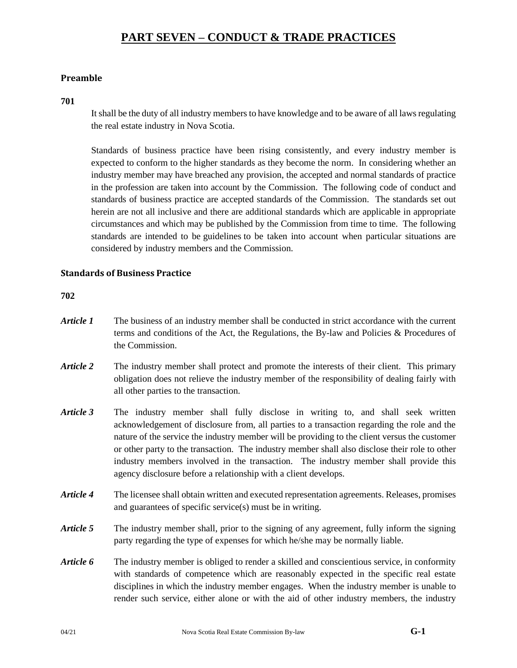## **Preamble**

#### **701**

It shall be the duty of all industry members to have knowledge and to be aware of all laws regulating the real estate industry in Nova Scotia.

Standards of business practice have been rising consistently, and every industry member is expected to conform to the higher standards as they become the norm. In considering whether an industry member may have breached any provision, the accepted and normal standards of practice in the profession are taken into account by the Commission. The following code of conduct and standards of business practice are accepted standards of the Commission. The standards set out herein are not all inclusive and there are additional standards which are applicable in appropriate circumstances and which may be published by the Commission from time to time. The following standards are intended to be guidelines to be taken into account when particular situations are considered by industry members and the Commission.

## **Standards of Business Practice**

- *Article 1* The business of an industry member shall be conducted in strict accordance with the current terms and conditions of the Act, the Regulations, the By-law and Policies & Procedures of the Commission.
- *Article 2* The industry member shall protect and promote the interests of their client. This primary obligation does not relieve the industry member of the responsibility of dealing fairly with all other parties to the transaction.
- *Article 3* The industry member shall fully disclose in writing to, and shall seek written acknowledgement of disclosure from, all parties to a transaction regarding the role and the nature of the service the industry member will be providing to the client versus the customer or other party to the transaction. The industry member shall also disclose their role to other industry members involved in the transaction. The industry member shall provide this agency disclosure before a relationship with a client develops.
- *Article 4* The licensee shall obtain written and executed representation agreements. Releases, promises and guarantees of specific service(s) must be in writing.
- *Article 5* The industry member shall, prior to the signing of any agreement, fully inform the signing party regarding the type of expenses for which he/she may be normally liable.
- *Article 6* The industry member is obliged to render a skilled and conscientious service, in conformity with standards of competence which are reasonably expected in the specific real estate disciplines in which the industry member engages. When the industry member is unable to render such service, either alone or with the aid of other industry members, the industry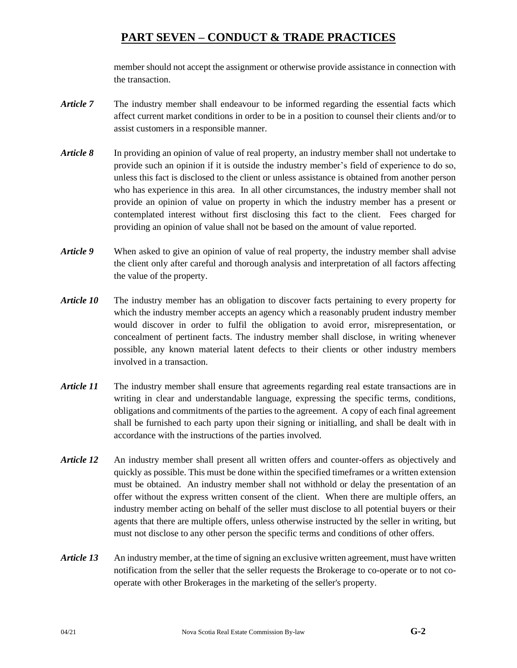member should not accept the assignment or otherwise provide assistance in connection with the transaction.

- *Article 7* The industry member shall endeavour to be informed regarding the essential facts which affect current market conditions in order to be in a position to counsel their clients and/or to assist customers in a responsible manner.
- *Article 8* In providing an opinion of value of real property, an industry member shall not undertake to provide such an opinion if it is outside the industry member's field of experience to do so, unless this fact is disclosed to the client or unless assistance is obtained from another person who has experience in this area. In all other circumstances, the industry member shall not provide an opinion of value on property in which the industry member has a present or contemplated interest without first disclosing this fact to the client. Fees charged for providing an opinion of value shall not be based on the amount of value reported.
- *Article 9* When asked to give an opinion of value of real property, the industry member shall advise the client only after careful and thorough analysis and interpretation of all factors affecting the value of the property.
- *Article 10* The industry member has an obligation to discover facts pertaining to every property for which the industry member accepts an agency which a reasonably prudent industry member would discover in order to fulfil the obligation to avoid error, misrepresentation, or concealment of pertinent facts. The industry member shall disclose, in writing whenever possible, any known material latent defects to their clients or other industry members involved in a transaction.
- *Article 11* The industry member shall ensure that agreements regarding real estate transactions are in writing in clear and understandable language, expressing the specific terms, conditions, obligations and commitments of the parties to the agreement. A copy of each final agreement shall be furnished to each party upon their signing or initialling, and shall be dealt with in accordance with the instructions of the parties involved.
- *Article 12* An industry member shall present all written offers and counter-offers as objectively and quickly as possible. This must be done within the specified timeframes or a written extension must be obtained. An industry member shall not withhold or delay the presentation of an offer without the express written consent of the client. When there are multiple offers, an industry member acting on behalf of the seller must disclose to all potential buyers or their agents that there are multiple offers, unless otherwise instructed by the seller in writing, but must not disclose to any other person the specific terms and conditions of other offers.
- *Article 13* An industry member, at the time of signing an exclusive written agreement, must have written notification from the seller that the seller requests the Brokerage to co-operate or to not cooperate with other Brokerages in the marketing of the seller's property.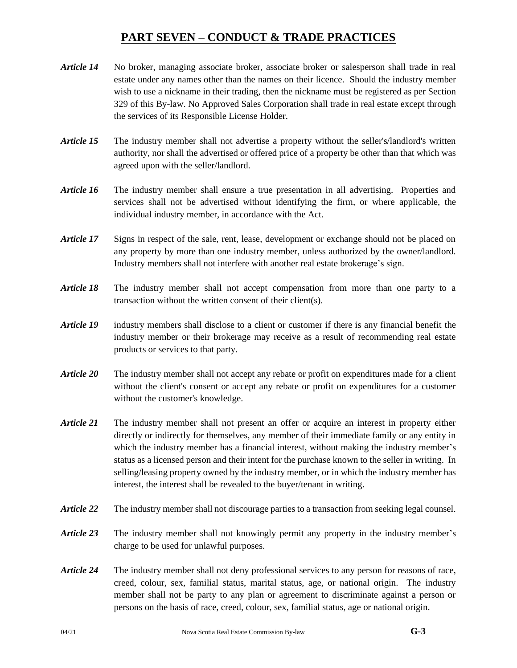- *Article 14* No broker, managing associate broker, associate broker or salesperson shall trade in real estate under any names other than the names on their licence. Should the industry member wish to use a nickname in their trading, then the nickname must be registered as per Section 329 of this By-law. No Approved Sales Corporation shall trade in real estate except through the services of its Responsible License Holder.
- *Article 15* The industry member shall not advertise a property without the seller's/landlord's written authority, nor shall the advertised or offered price of a property be other than that which was agreed upon with the seller/landlord.
- *Article 16* The industry member shall ensure a true presentation in all advertising. Properties and services shall not be advertised without identifying the firm, or where applicable, the individual industry member, in accordance with the Act.
- *Article 17* Signs in respect of the sale, rent, lease, development or exchange should not be placed on any property by more than one industry member, unless authorized by the owner/landlord. Industry members shall not interfere with another real estate brokerage's sign.
- *Article 18* The industry member shall not accept compensation from more than one party to a transaction without the written consent of their client(s).
- *Article 19* industry members shall disclose to a client or customer if there is any financial benefit the industry member or their brokerage may receive as a result of recommending real estate products or services to that party.
- *Article 20* The industry member shall not accept any rebate or profit on expenditures made for a client without the client's consent or accept any rebate or profit on expenditures for a customer without the customer's knowledge.
- *Article 21* The industry member shall not present an offer or acquire an interest in property either directly or indirectly for themselves, any member of their immediate family or any entity in which the industry member has a financial interest, without making the industry member's status as a licensed person and their intent for the purchase known to the seller in writing. In selling/leasing property owned by the industry member, or in which the industry member has interest, the interest shall be revealed to the buyer/tenant in writing.
- *Article 22* The industry member shall not discourage parties to a transaction from seeking legal counsel.
- *Article 23* The industry member shall not knowingly permit any property in the industry member's charge to be used for unlawful purposes.
- *Article 24* The industry member shall not deny professional services to any person for reasons of race, creed, colour, sex, familial status, marital status, age, or national origin. The industry member shall not be party to any plan or agreement to discriminate against a person or persons on the basis of race, creed, colour, sex, familial status, age or national origin.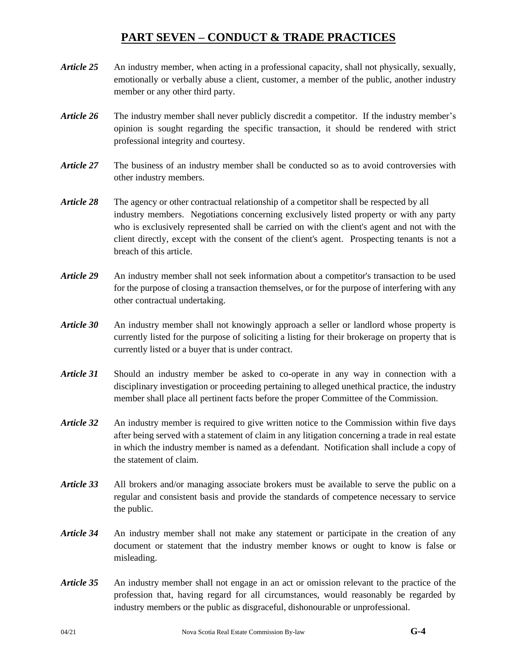- *Article 25* An industry member, when acting in a professional capacity, shall not physically, sexually, emotionally or verbally abuse a client, customer, a member of the public, another industry member or any other third party.
- *Article 26* The industry member shall never publicly discredit a competitor. If the industry member's opinion is sought regarding the specific transaction, it should be rendered with strict professional integrity and courtesy.
- *Article 27* The business of an industry member shall be conducted so as to avoid controversies with other industry members.
- *Article 28* The agency or other contractual relationship of a competitor shall be respected by all industry members. Negotiations concerning exclusively listed property or with any party who is exclusively represented shall be carried on with the client's agent and not with the client directly, except with the consent of the client's agent. Prospecting tenants is not a breach of this article.
- *Article 29* An industry member shall not seek information about a competitor's transaction to be used for the purpose of closing a transaction themselves, or for the purpose of interfering with any other contractual undertaking.
- *Article 30* An industry member shall not knowingly approach a seller or landlord whose property is currently listed for the purpose of soliciting a listing for their brokerage on property that is currently listed or a buyer that is under contract.
- *Article 31* Should an industry member be asked to co-operate in any way in connection with a disciplinary investigation or proceeding pertaining to alleged unethical practice, the industry member shall place all pertinent facts before the proper Committee of the Commission.
- *Article 32* An industry member is required to give written notice to the Commission within five days after being served with a statement of claim in any litigation concerning a trade in real estate in which the industry member is named as a defendant. Notification shall include a copy of the statement of claim.
- *Article 33* All brokers and/or managing associate brokers must be available to serve the public on a regular and consistent basis and provide the standards of competence necessary to service the public.
- *Article 34* An industry member shall not make any statement or participate in the creation of any document or statement that the industry member knows or ought to know is false or misleading.
- *Article 35* An industry member shall not engage in an act or omission relevant to the practice of the profession that, having regard for all circumstances, would reasonably be regarded by industry members or the public as disgraceful, dishonourable or unprofessional.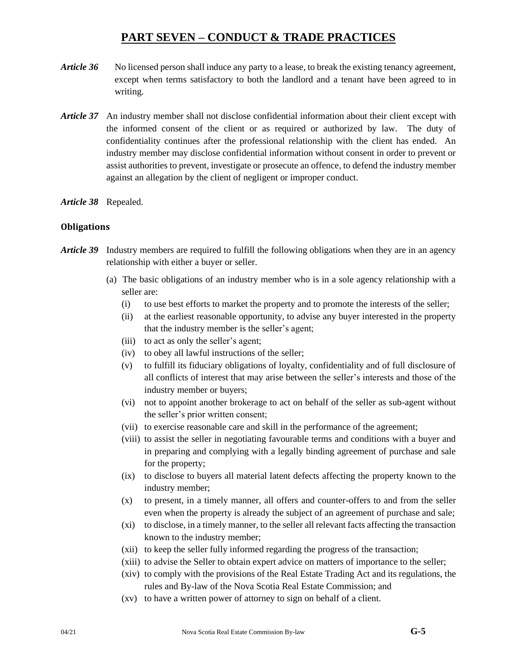- *Article 36* No licensed person shall induce any party to a lease, to break the existing tenancy agreement, except when terms satisfactory to both the landlord and a tenant have been agreed to in writing.
- *Article 37* An industry member shall not disclose confidential information about their client except with the informed consent of the client or as required or authorized by law. The duty of confidentiality continues after the professional relationship with the client has ended. An industry member may disclose confidential information without consent in order to prevent or assist authorities to prevent, investigate or prosecute an offence, to defend the industry member against an allegation by the client of negligent or improper conduct.
- *Article 38* Repealed.

## **Obligations**

- *Article 39* Industry members are required to fulfill the following obligations when they are in an agency relationship with either a buyer or seller.
	- (a) The basic obligations of an industry member who is in a sole agency relationship with a seller are:
		- (i) to use best efforts to market the property and to promote the interests of the seller;
		- (ii) at the earliest reasonable opportunity, to advise any buyer interested in the property that the industry member is the seller's agent;
		- (iii) to act as only the seller's agent;
		- (iv) to obey all lawful instructions of the seller;
		- (v) to fulfill its fiduciary obligations of loyalty, confidentiality and of full disclosure of all conflicts of interest that may arise between the seller's interests and those of the industry member or buyers;
		- (vi) not to appoint another brokerage to act on behalf of the seller as sub-agent without the seller's prior written consent;
		- (vii) to exercise reasonable care and skill in the performance of the agreement;
		- (viii) to assist the seller in negotiating favourable terms and conditions with a buyer and in preparing and complying with a legally binding agreement of purchase and sale for the property;
		- (ix) to disclose to buyers all material latent defects affecting the property known to the industry member;
		- (x) to present, in a timely manner, all offers and counter-offers to and from the seller even when the property is already the subject of an agreement of purchase and sale;
		- (xi) to disclose, in a timely manner, to the seller all relevant facts affecting the transaction known to the industry member;
		- (xii) to keep the seller fully informed regarding the progress of the transaction;
		- (xiii) to advise the Seller to obtain expert advice on matters of importance to the seller;
		- (xiv) to comply with the provisions of the Real Estate Trading Act and its regulations, the rules and By-law of the Nova Scotia Real Estate Commission; and
		- (xv) to have a written power of attorney to sign on behalf of a client.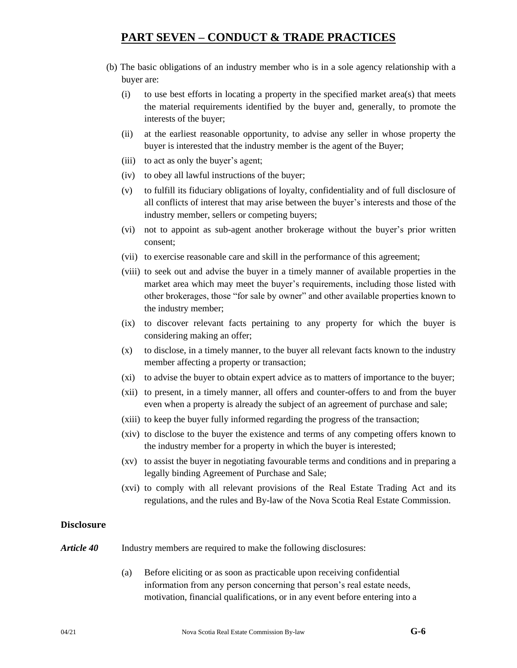- (b) The basic obligations of an industry member who is in a sole agency relationship with a buyer are:
	- (i) to use best efforts in locating a property in the specified market area(s) that meets the material requirements identified by the buyer and, generally, to promote the interests of the buyer;
	- (ii) at the earliest reasonable opportunity, to advise any seller in whose property the buyer is interested that the industry member is the agent of the Buyer;
	- (iii) to act as only the buyer's agent;
	- (iv) to obey all lawful instructions of the buyer;
	- (v) to fulfill its fiduciary obligations of loyalty, confidentiality and of full disclosure of all conflicts of interest that may arise between the buyer's interests and those of the industry member, sellers or competing buyers;
	- (vi) not to appoint as sub-agent another brokerage without the buyer's prior written consent;
	- (vii) to exercise reasonable care and skill in the performance of this agreement;
	- (viii) to seek out and advise the buyer in a timely manner of available properties in the market area which may meet the buyer's requirements, including those listed with other brokerages, those "for sale by owner" and other available properties known to the industry member;
	- (ix) to discover relevant facts pertaining to any property for which the buyer is considering making an offer;
	- (x) to disclose, in a timely manner, to the buyer all relevant facts known to the industry member affecting a property or transaction;
	- (xi) to advise the buyer to obtain expert advice as to matters of importance to the buyer;
	- (xii) to present, in a timely manner, all offers and counter-offers to and from the buyer even when a property is already the subject of an agreement of purchase and sale;
	- (xiii) to keep the buyer fully informed regarding the progress of the transaction;
	- (xiv) to disclose to the buyer the existence and terms of any competing offers known to the industry member for a property in which the buyer is interested;
	- (xv) to assist the buyer in negotiating favourable terms and conditions and in preparing a legally binding Agreement of Purchase and Sale;
	- (xvi) to comply with all relevant provisions of the Real Estate Trading Act and its regulations, and the rules and By-law of the Nova Scotia Real Estate Commission.

#### **Disclosure**

- *Article 40* Industry members are required to make the following disclosures:
	- (a) Before eliciting or as soon as practicable upon receiving confidential information from any person concerning that person's real estate needs, motivation, financial qualifications, or in any event before entering into a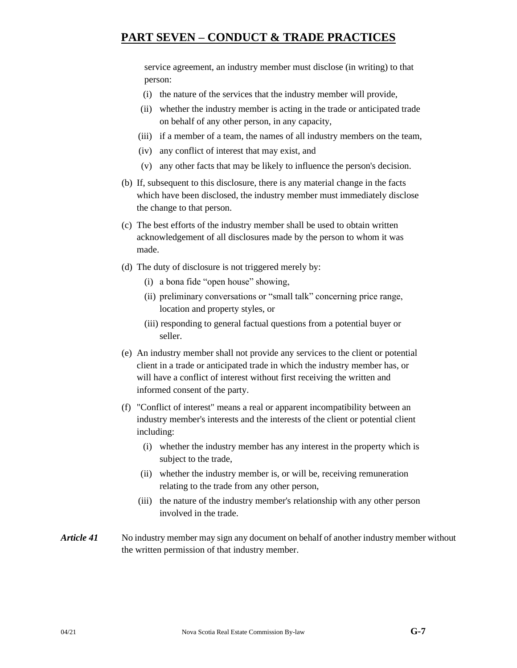service agreement, an industry member must disclose (in writing) to that person:

- (i) the nature of the services that the industry member will provide,
- (ii) whether the industry member is acting in the trade or anticipated trade on behalf of any other person, in any capacity,
- (iii) if a member of a team, the names of all industry members on the team,
- (iv) any conflict of interest that may exist, and
- (v) any other facts that may be likely to influence the person's decision.
- (b) If, subsequent to this disclosure, there is any material change in the facts which have been disclosed, the industry member must immediately disclose the change to that person.
- (c) The best efforts of the industry member shall be used to obtain written acknowledgement of all disclosures made by the person to whom it was made.
- (d) The duty of disclosure is not triggered merely by:
	- (i) a bona fide "open house" showing,
	- (ii) preliminary conversations or "small talk" concerning price range, location and property styles, or
	- (iii) responding to general factual questions from a potential buyer or seller.
- (e) An industry member shall not provide any services to the client or potential client in a trade or anticipated trade in which the industry member has, or will have a conflict of interest without first receiving the written and informed consent of the party.
- (f) "Conflict of interest" means a real or apparent incompatibility between an industry member's interests and the interests of the client or potential client including:
	- (i) whether the industry member has any interest in the property which is subject to the trade,
	- (ii) whether the industry member is, or will be, receiving remuneration relating to the trade from any other person,
	- (iii) the nature of the industry member's relationship with any other person involved in the trade.
- *Article 41* No industry member may sign any document on behalf of another industry member without the written permission of that industry member.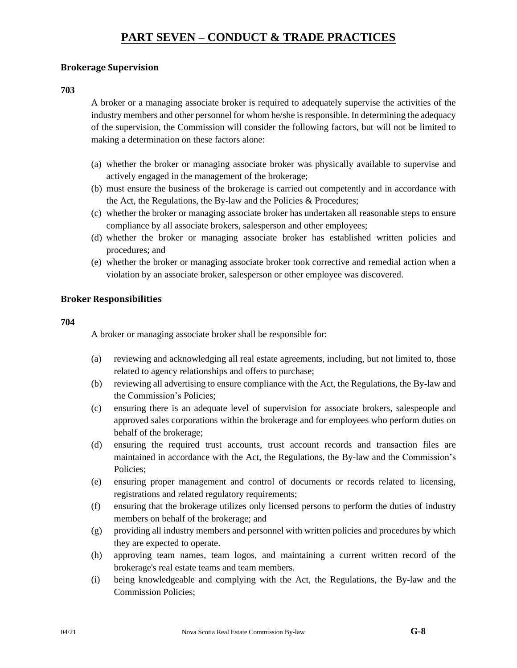## **Brokerage Supervision**

#### **703**

A broker or a managing associate broker is required to adequately supervise the activities of the industry members and other personnel for whom he/she is responsible. In determining the adequacy of the supervision, the Commission will consider the following factors, but will not be limited to making a determination on these factors alone:

- (a) whether the broker or managing associate broker was physically available to supervise and actively engaged in the management of the brokerage;
- (b) must ensure the business of the brokerage is carried out competently and in accordance with the Act, the Regulations, the By-law and the Policies & Procedures;
- (c) whether the broker or managing associate broker has undertaken all reasonable steps to ensure compliance by all associate brokers, salesperson and other employees;
- (d) whether the broker or managing associate broker has established written policies and procedures; and
- (e) whether the broker or managing associate broker took corrective and remedial action when a violation by an associate broker, salesperson or other employee was discovered.

## **Broker Responsibilities**

#### **704**

A broker or managing associate broker shall be responsible for:

- (a) reviewing and acknowledging all real estate agreements, including, but not limited to, those related to agency relationships and offers to purchase;
- (b) reviewing all advertising to ensure compliance with the Act, the Regulations, the By-law and the Commission's Policies;
- (c) ensuring there is an adequate level of supervision for associate brokers, salespeople and approved sales corporations within the brokerage and for employees who perform duties on behalf of the brokerage;
- (d) ensuring the required trust accounts, trust account records and transaction files are maintained in accordance with the Act, the Regulations, the By-law and the Commission's Policies;
- (e) ensuring proper management and control of documents or records related to licensing, registrations and related regulatory requirements;
- (f) ensuring that the brokerage utilizes only licensed persons to perform the duties of industry members on behalf of the brokerage; and
- (g) providing all industry members and personnel with written policies and procedures by which they are expected to operate.
- (h) approving team names, team logos, and maintaining a current written record of the brokerage's real estate teams and team members.
- (i) being knowledgeable and complying with the Act, the Regulations, the By-law and the Commission Policies;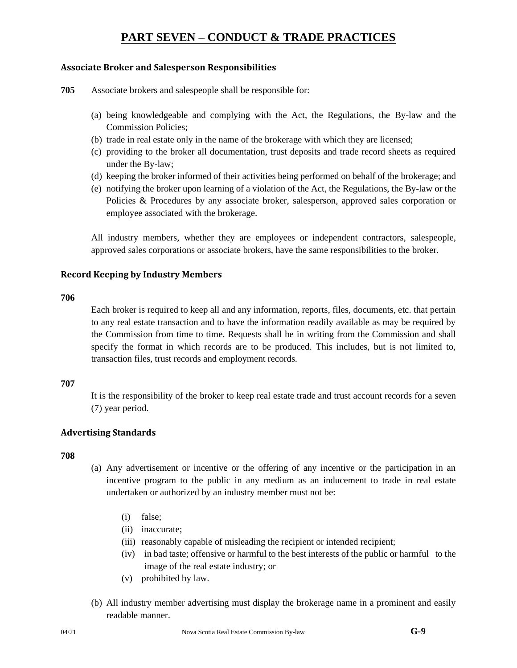## **Associate Broker and Salesperson Responsibilities**

**705** Associate brokers and salespeople shall be responsible for:

- (a) being knowledgeable and complying with the Act, the Regulations, the By-law and the Commission Policies;
- (b) trade in real estate only in the name of the brokerage with which they are licensed;
- (c) providing to the broker all documentation, trust deposits and trade record sheets as required under the By-law;
- (d) keeping the broker informed of their activities being performed on behalf of the brokerage; and
- (e) notifying the broker upon learning of a violation of the Act, the Regulations, the By-law or the Policies & Procedures by any associate broker, salesperson, approved sales corporation or employee associated with the brokerage.

All industry members, whether they are employees or independent contractors, salespeople, approved sales corporations or associate brokers, have the same responsibilities to the broker.

## **Record Keeping by Industry Members**

#### **706**

Each broker is required to keep all and any information, reports, files, documents, etc. that pertain to any real estate transaction and to have the information readily available as may be required by the Commission from time to time. Requests shall be in writing from the Commission and shall specify the format in which records are to be produced. This includes, but is not limited to, transaction files, trust records and employment records.

## **707**

It is the responsibility of the broker to keep real estate trade and trust account records for a seven (7) year period.

## **Advertising Standards**

- (a) Any advertisement or incentive or the offering of any incentive or the participation in an incentive program to the public in any medium as an inducement to trade in real estate undertaken or authorized by an industry member must not be:
	- (i) false;
	- (ii) inaccurate;
	- (iii) reasonably capable of misleading the recipient or intended recipient;
	- (iv) in bad taste; offensive or harmful to the best interests of the public or harmful to the image of the real estate industry; or
	- (v) prohibited by law.
- (b) All industry member advertising must display the brokerage name in a prominent and easily readable manner.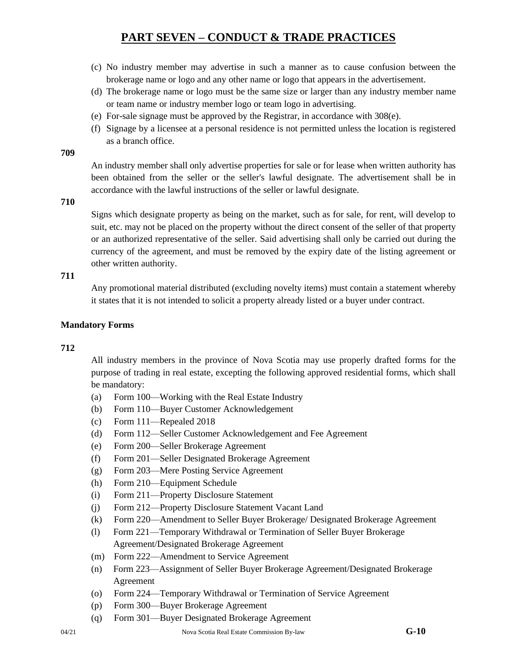- (c) No industry member may advertise in such a manner as to cause confusion between the brokerage name or logo and any other name or logo that appears in the advertisement.
- (d) The brokerage name or logo must be the same size or larger than any industry member name or team name or industry member logo or team logo in advertising.
- (e) For-sale signage must be approved by the Registrar, in accordance with 308(e).
- (f) Signage by a licensee at a personal residence is not permitted unless the location is registered as a branch office.

**709**

An industry member shall only advertise properties for sale or for lease when written authority has been obtained from the seller or the seller's lawful designate. The advertisement shall be in accordance with the lawful instructions of the seller or lawful designate.

**710**

Signs which designate property as being on the market, such as for sale, for rent, will develop to suit, etc. may not be placed on the property without the direct consent of the seller of that property or an authorized representative of the seller. Said advertising shall only be carried out during the currency of the agreement, and must be removed by the expiry date of the listing agreement or other written authority.

## **711**

Any promotional material distributed (excluding novelty items) must contain a statement whereby it states that it is not intended to solicit a property already listed or a buyer under contract.

## **Mandatory Forms**

## **712**

All industry members in the province of Nova Scotia may use properly drafted forms for the purpose of trading in real estate, excepting the following approved residential forms, which shall be mandatory:

- (a) Form 100—Working with the Real Estate Industry
- (b) Form 110—Buyer Customer Acknowledgement
- (c) Form 111—Repealed 2018
- (d) Form 112—Seller Customer Acknowledgement and Fee Agreement
- (e) Form 200—Seller Brokerage Agreement
- (f) Form 201—Seller Designated Brokerage Agreement
- (g) Form 203—Mere Posting Service Agreement
- (h) Form 210—Equipment Schedule
- (i) Form 211—Property Disclosure Statement
- (j) Form 212—Property Disclosure Statement Vacant Land
- (k) Form 220—Amendment to Seller Buyer Brokerage/ Designated Brokerage Agreement
- (l) Form 221—Temporary Withdrawal or Termination of Seller Buyer Brokerage Agreement/Designated Brokerage Agreement
- (m) Form 222—Amendment to Service Agreement
- (n) Form 223—Assignment of Seller Buyer Brokerage Agreement/Designated Brokerage Agreement
- (o) Form 224—Temporary Withdrawal or Termination of Service Agreement
- (p) Form 300—Buyer Brokerage Agreement
- (q) Form 301—Buyer Designated Brokerage Agreement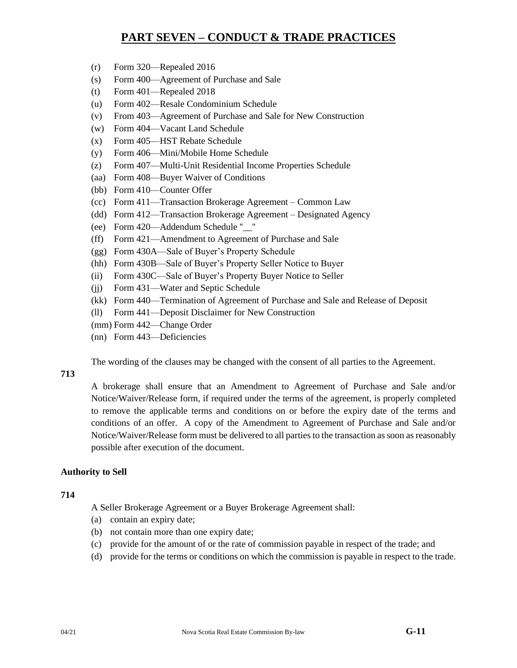- (r) Form 320—Repealed 2016
- (s) Form 400—Agreement of Purchase and Sale
- (t) Form 401—Repealed 2018
- (u) Form 402—Resale Condominium Schedule
- (v) From 403—Agreement of Purchase and Sale for New Construction
- (w) Form 404—Vacant Land Schedule
- (x) Form 405—HST Rebate Schedule
- (y) Form 406—Mini/Mobile Home Schedule
- (z) Form 407—Multi-Unit Residential Income Properties Schedule
- (aa) Form 408—Buyer Waiver of Conditions
- (bb) Form 410—Counter Offer
- (cc) Form 411—Transaction Brokerage Agreement Common Law
- (dd) Form 412—Transaction Brokerage Agreement Designated Agency
- (ee) Form 420—Addendum Schedule ''\_\_''
- (ff) Form 421—Amendment to Agreement of Purchase and Sale
- (gg) Form 430A—Sale of Buyer's Property Schedule
- (hh) Form 430B—Sale of Buyer's Property Seller Notice to Buyer
- (ii) Form 430C—Sale of Buyer's Property Buyer Notice to Seller
- (jj) Form 431—Water and Septic Schedule
- (kk) Form 440—Termination of Agreement of Purchase and Sale and Release of Deposit
- (ll) Form 441—Deposit Disclaimer for New Construction
- (mm) Form 442—Change Order
- (nn) Form 443—Deficiencies

The wording of the clauses may be changed with the consent of all parties to the Agreement.

# **713**

A brokerage shall ensure that an Amendment to Agreement of Purchase and Sale and/or Notice/Waiver/Release form, if required under the terms of the agreement, is properly completed to remove the applicable terms and conditions on or before the expiry date of the terms and conditions of an offer. A copy of the Amendment to Agreement of Purchase and Sale and/or Notice/Waiver/Release form must be delivered to all parties to the transaction as soon as reasonably possible after execution of the document.

## **Authority to Sell**

## **714**

A Seller Brokerage Agreement or a Buyer Brokerage Agreement shall:

- (a) contain an expiry date;
- (b) not contain more than one expiry date;
- (c) provide for the amount of or the rate of commission payable in respect of the trade; and
- (d) provide for the terms or conditions on which the commission is payable in respect to the trade.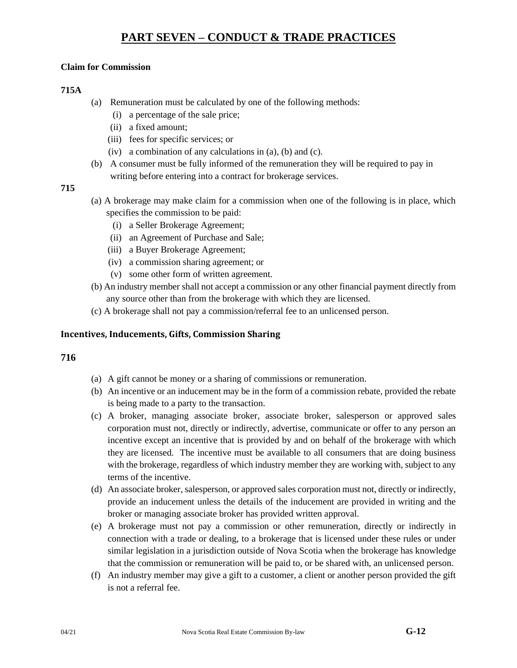## **Claim for Commission**

## **715A**

- (a) Remuneration must be calculated by one of the following methods:
	- (i) a percentage of the sale price;
	- (ii) a fixed amount;
	- (iii) fees for specific services; or
	- (iv) a combination of any calculations in (a), (b) and (c).
- (b) A consumer must be fully informed of the remuneration they will be required to pay in writing before entering into a contract for brokerage services.

## **715**

- (a) A brokerage may make claim for a commission when one of the following is in place, which specifies the commission to be paid:
	- (i) a Seller Brokerage Agreement;
	- (ii) an Agreement of Purchase and Sale;
	- (iii) a Buyer Brokerage Agreement;
	- (iv) a commission sharing agreement; or
	- (v) some other form of written agreement.
- (b) An industry member shall not accept a commission or any other financial payment directly from any source other than from the brokerage with which they are licensed.
- (c) A brokerage shall not pay a commission/referral fee to an unlicensed person.

## **Incentives, Inducements, Gifts, Commission Sharing**

- (a) A gift cannot be money or a sharing of commissions or remuneration.
- (b) An incentive or an inducement may be in the form of a commission rebate, provided the rebate is being made to a party to the transaction.
- (c) A broker, managing associate broker, associate broker, salesperson or approved sales corporation must not, directly or indirectly, advertise, communicate or offer to any person an incentive except an incentive that is provided by and on behalf of the brokerage with which they are licensed. The incentive must be available to all consumers that are doing business with the brokerage, regardless of which industry member they are working with, subject to any terms of the incentive.
- (d) An associate broker, salesperson, or approved sales corporation must not, directly or indirectly, provide an inducement unless the details of the inducement are provided in writing and the broker or managing associate broker has provided written approval.
- (e) A brokerage must not pay a commission or other remuneration, directly or indirectly in connection with a trade or dealing, to a brokerage that is licensed under these rules or under similar legislation in a jurisdiction outside of Nova Scotia when the brokerage has knowledge that the commission or remuneration will be paid to, or be shared with, an unlicensed person.
- (f) An industry member may give a gift to a customer, a client or another person provided the gift is not a referral fee.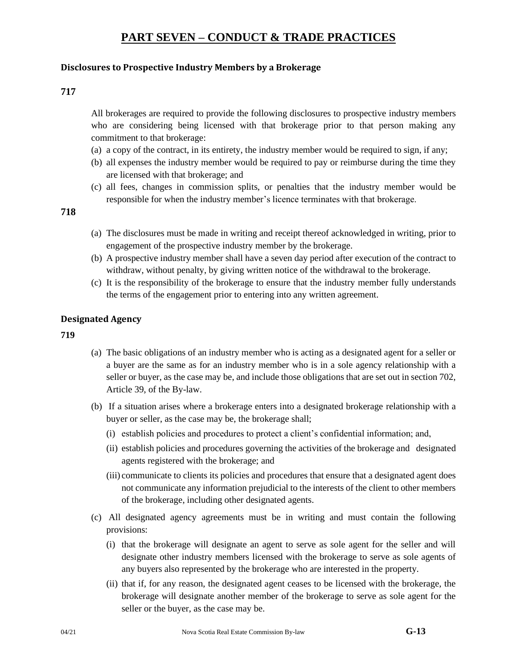## **Disclosures to Prospective Industry Members by a Brokerage**

## **717**

All brokerages are required to provide the following disclosures to prospective industry members who are considering being licensed with that brokerage prior to that person making any commitment to that brokerage:

- (a) a copy of the contract, in its entirety, the industry member would be required to sign, if any;
- (b) all expenses the industry member would be required to pay or reimburse during the time they are licensed with that brokerage; and
- (c) all fees, changes in commission splits, or penalties that the industry member would be responsible for when the industry member's licence terminates with that brokerage.

## **718**

- (a) The disclosures must be made in writing and receipt thereof acknowledged in writing, prior to engagement of the prospective industry member by the brokerage.
- (b) A prospective industry member shall have a seven day period after execution of the contract to withdraw, without penalty, by giving written notice of the withdrawal to the brokerage.
- (c) It is the responsibility of the brokerage to ensure that the industry member fully understands the terms of the engagement prior to entering into any written agreement.

## **Designated Agency**

- (a) The basic obligations of an industry member who is acting as a designated agent for a seller or a buyer are the same as for an industry member who is in a sole agency relationship with a seller or buyer, as the case may be, and include those obligations that are set out in section 702, Article 39, of the By-law.
- (b) If a situation arises where a brokerage enters into a designated brokerage relationship with a buyer or seller, as the case may be, the brokerage shall;
	- (i) establish policies and procedures to protect a client's confidential information; and,
	- (ii) establish policies and procedures governing the activities of the brokerage and designated agents registered with the brokerage; and
	- (iii) communicate to clients its policies and procedures that ensure that a designated agent does not communicate any information prejudicial to the interests of the client to other members of the brokerage, including other designated agents.
- (c) All designated agency agreements must be in writing and must contain the following provisions:
	- (i) that the brokerage will designate an agent to serve as sole agent for the seller and will designate other industry members licensed with the brokerage to serve as sole agents of any buyers also represented by the brokerage who are interested in the property.
	- (ii) that if, for any reason, the designated agent ceases to be licensed with the brokerage, the brokerage will designate another member of the brokerage to serve as sole agent for the seller or the buyer, as the case may be.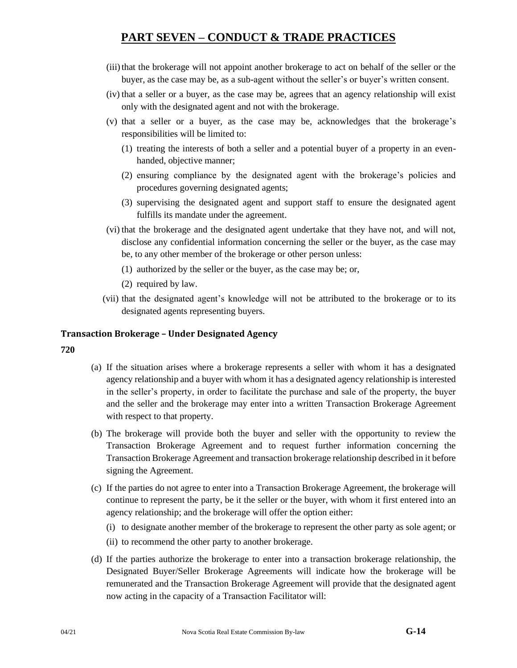- (iii) that the brokerage will not appoint another brokerage to act on behalf of the seller or the buyer, as the case may be, as a sub-agent without the seller's or buyer's written consent.
- (iv) that a seller or a buyer, as the case may be, agrees that an agency relationship will exist only with the designated agent and not with the brokerage.
- (v) that a seller or a buyer, as the case may be, acknowledges that the brokerage's responsibilities will be limited to:
	- (1) treating the interests of both a seller and a potential buyer of a property in an evenhanded, objective manner;
	- (2) ensuring compliance by the designated agent with the brokerage's policies and procedures governing designated agents;
	- (3) supervising the designated agent and support staff to ensure the designated agent fulfills its mandate under the agreement.
- (vi) that the brokerage and the designated agent undertake that they have not, and will not, disclose any confidential information concerning the seller or the buyer, as the case may be, to any other member of the brokerage or other person unless:
	- (1) authorized by the seller or the buyer, as the case may be; or,
	- (2) required by law.
- (vii) that the designated agent's knowledge will not be attributed to the brokerage or to its designated agents representing buyers.

### **Transaction Brokerage – Under Designated Agency**

- (a) If the situation arises where a brokerage represents a seller with whom it has a designated agency relationship and a buyer with whom it has a designated agency relationship is interested in the seller's property, in order to facilitate the purchase and sale of the property, the buyer and the seller and the brokerage may enter into a written Transaction Brokerage Agreement with respect to that property.
- (b) The brokerage will provide both the buyer and seller with the opportunity to review the Transaction Brokerage Agreement and to request further information concerning the Transaction Brokerage Agreement and transaction brokerage relationship described in it before signing the Agreement.
- (c) If the parties do not agree to enter into a Transaction Brokerage Agreement, the brokerage will continue to represent the party, be it the seller or the buyer, with whom it first entered into an agency relationship; and the brokerage will offer the option either:
	- (i) to designate another member of the brokerage to represent the other party as sole agent; or
	- (ii) to recommend the other party to another brokerage.
- (d) If the parties authorize the brokerage to enter into a transaction brokerage relationship, the Designated Buyer/Seller Brokerage Agreements will indicate how the brokerage will be remunerated and the Transaction Brokerage Agreement will provide that the designated agent now acting in the capacity of a Transaction Facilitator will: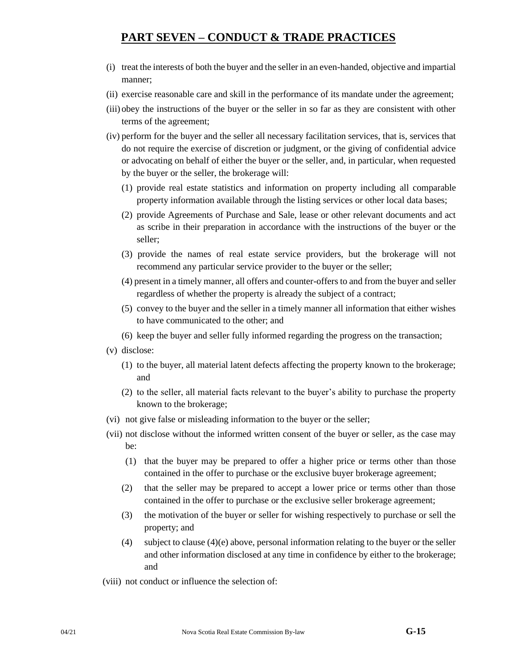- (i) treat the interests of both the buyer and the seller in an even-handed, objective and impartial manner;
- (ii) exercise reasonable care and skill in the performance of its mandate under the agreement;
- (iii) obey the instructions of the buyer or the seller in so far as they are consistent with other terms of the agreement;
- (iv) perform for the buyer and the seller all necessary facilitation services, that is, services that do not require the exercise of discretion or judgment, or the giving of confidential advice or advocating on behalf of either the buyer or the seller, and, in particular, when requested by the buyer or the seller, the brokerage will:
	- (1) provide real estate statistics and information on property including all comparable property information available through the listing services or other local data bases;
	- (2) provide Agreements of Purchase and Sale, lease or other relevant documents and act as scribe in their preparation in accordance with the instructions of the buyer or the seller;
	- (3) provide the names of real estate service providers, but the brokerage will not recommend any particular service provider to the buyer or the seller;
	- (4) present in a timely manner, all offers and counter-offers to and from the buyer and seller regardless of whether the property is already the subject of a contract;
	- (5) convey to the buyer and the seller in a timely manner all information that either wishes to have communicated to the other; and
	- (6) keep the buyer and seller fully informed regarding the progress on the transaction;
- (v) disclose:
	- (1) to the buyer, all material latent defects affecting the property known to the brokerage; and
	- (2) to the seller, all material facts relevant to the buyer's ability to purchase the property known to the brokerage;
- (vi) not give false or misleading information to the buyer or the seller;
- (vii) not disclose without the informed written consent of the buyer or seller, as the case may be:
	- (1) that the buyer may be prepared to offer a higher price or terms other than those contained in the offer to purchase or the exclusive buyer brokerage agreement;
	- (2) that the seller may be prepared to accept a lower price or terms other than those contained in the offer to purchase or the exclusive seller brokerage agreement;
	- (3) the motivation of the buyer or seller for wishing respectively to purchase or sell the property; and
	- (4) subject to clause (4)(e) above, personal information relating to the buyer or the seller and other information disclosed at any time in confidence by either to the brokerage; and
- (viii) not conduct or influence the selection of: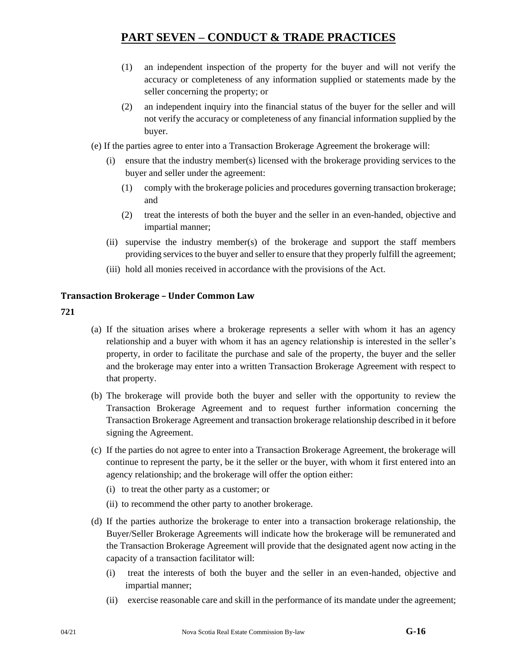- (1) an independent inspection of the property for the buyer and will not verify the accuracy or completeness of any information supplied or statements made by the seller concerning the property; or
- (2) an independent inquiry into the financial status of the buyer for the seller and will not verify the accuracy or completeness of any financial information supplied by the buyer.
- (e) If the parties agree to enter into a Transaction Brokerage Agreement the brokerage will:
	- (i) ensure that the industry member(s) licensed with the brokerage providing services to the buyer and seller under the agreement:
		- (1) comply with the brokerage policies and procedures governing transaction brokerage; and
		- (2) treat the interests of both the buyer and the seller in an even-handed, objective and impartial manner;
	- (ii) supervise the industry member(s) of the brokerage and support the staff members providing services to the buyer and seller to ensure that they properly fulfill the agreement;
	- (iii) hold all monies received in accordance with the provisions of the Act.

## **Transaction Brokerage – Under Common Law**

- (a) If the situation arises where a brokerage represents a seller with whom it has an agency relationship and a buyer with whom it has an agency relationship is interested in the seller's property, in order to facilitate the purchase and sale of the property, the buyer and the seller and the brokerage may enter into a written Transaction Brokerage Agreement with respect to that property.
- (b) The brokerage will provide both the buyer and seller with the opportunity to review the Transaction Brokerage Agreement and to request further information concerning the Transaction Brokerage Agreement and transaction brokerage relationship described in it before signing the Agreement.
- (c) If the parties do not agree to enter into a Transaction Brokerage Agreement, the brokerage will continue to represent the party, be it the seller or the buyer, with whom it first entered into an agency relationship; and the brokerage will offer the option either:
	- (i) to treat the other party as a customer; or
	- (ii) to recommend the other party to another brokerage.
- (d) If the parties authorize the brokerage to enter into a transaction brokerage relationship, the Buyer/Seller Brokerage Agreements will indicate how the brokerage will be remunerated and the Transaction Brokerage Agreement will provide that the designated agent now acting in the capacity of a transaction facilitator will:
	- (i) treat the interests of both the buyer and the seller in an even-handed, objective and impartial manner;
	- (ii) exercise reasonable care and skill in the performance of its mandate under the agreement;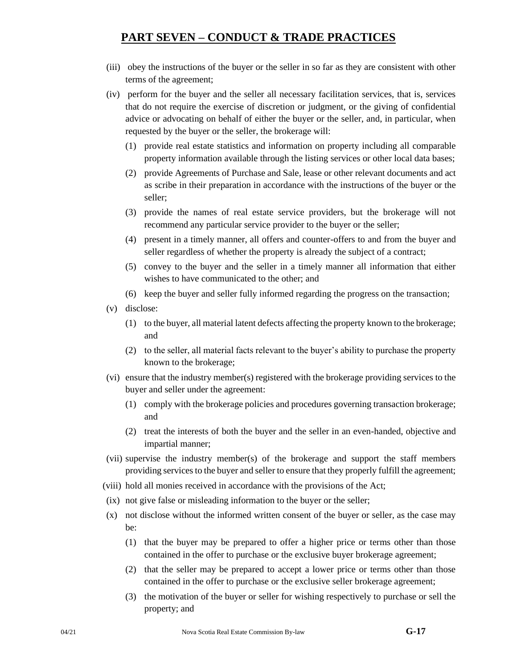- (iii) obey the instructions of the buyer or the seller in so far as they are consistent with other terms of the agreement;
- (iv) perform for the buyer and the seller all necessary facilitation services, that is, services that do not require the exercise of discretion or judgment, or the giving of confidential advice or advocating on behalf of either the buyer or the seller, and, in particular, when requested by the buyer or the seller, the brokerage will:
	- (1) provide real estate statistics and information on property including all comparable property information available through the listing services or other local data bases;
	- (2) provide Agreements of Purchase and Sale, lease or other relevant documents and act as scribe in their preparation in accordance with the instructions of the buyer or the seller;
	- (3) provide the names of real estate service providers, but the brokerage will not recommend any particular service provider to the buyer or the seller;
	- (4) present in a timely manner, all offers and counter-offers to and from the buyer and seller regardless of whether the property is already the subject of a contract;
	- (5) convey to the buyer and the seller in a timely manner all information that either wishes to have communicated to the other; and
	- (6) keep the buyer and seller fully informed regarding the progress on the transaction;
- (v) disclose:
	- (1) to the buyer, all material latent defects affecting the property known to the brokerage; and
	- (2) to the seller, all material facts relevant to the buyer's ability to purchase the property known to the brokerage;
- (vi) ensure that the industry member(s) registered with the brokerage providing services to the buyer and seller under the agreement:
	- (1) comply with the brokerage policies and procedures governing transaction brokerage; and
	- (2) treat the interests of both the buyer and the seller in an even-handed, objective and impartial manner;
- (vii) supervise the industry member(s) of the brokerage and support the staff members providing services to the buyer and seller to ensure that they properly fulfill the agreement;
- (viii) hold all monies received in accordance with the provisions of the Act;
- (ix) not give false or misleading information to the buyer or the seller;
- (x) not disclose without the informed written consent of the buyer or seller, as the case may be:
	- (1) that the buyer may be prepared to offer a higher price or terms other than those contained in the offer to purchase or the exclusive buyer brokerage agreement;
	- (2) that the seller may be prepared to accept a lower price or terms other than those contained in the offer to purchase or the exclusive seller brokerage agreement;
	- (3) the motivation of the buyer or seller for wishing respectively to purchase or sell the property; and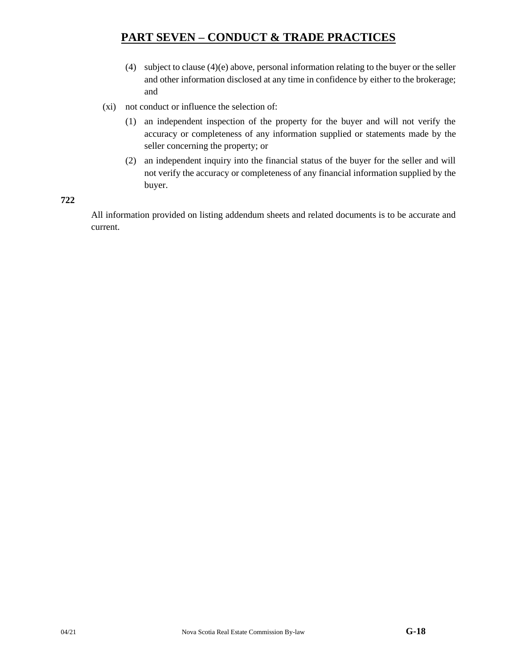- (4) subject to clause (4)(e) above, personal information relating to the buyer or the seller and other information disclosed at any time in confidence by either to the brokerage; and
- (xi) not conduct or influence the selection of:
	- (1) an independent inspection of the property for the buyer and will not verify the accuracy or completeness of any information supplied or statements made by the seller concerning the property; or
	- (2) an independent inquiry into the financial status of the buyer for the seller and will not verify the accuracy or completeness of any financial information supplied by the buyer.

**722**

All information provided on listing addendum sheets and related documents is to be accurate and current.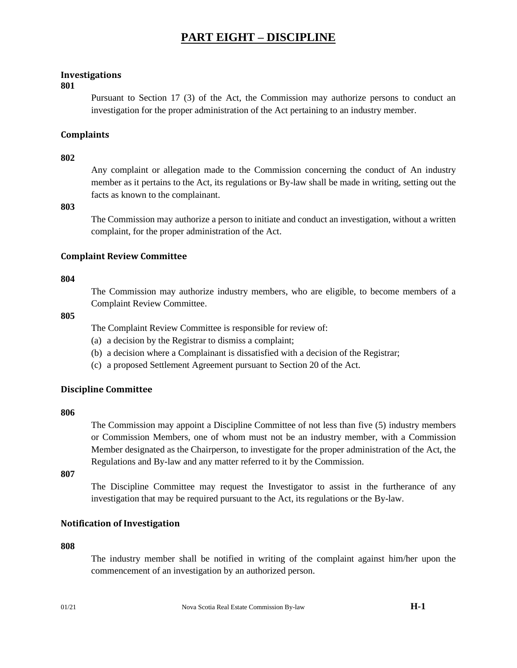## **Investigations**

#### **801**

Pursuant to Section 17 (3) of the Act, the Commission may authorize persons to conduct an investigation for the proper administration of the Act pertaining to an industry member.

## **Complaints**

### **802**

Any complaint or allegation made to the Commission concerning the conduct of An industry member as it pertains to the Act, its regulations or By-law shall be made in writing, setting out the facts as known to the complainant.

## **803**

The Commission may authorize a person to initiate and conduct an investigation, without a written complaint, for the proper administration of the Act.

## **Complaint Review Committee**

#### **804**

The Commission may authorize industry members, who are eligible, to become members of a Complaint Review Committee.

### **805**

The Complaint Review Committee is responsible for review of:

- (a) a decision by the Registrar to dismiss a complaint;
- (b) a decision where a Complainant is dissatisfied with a decision of the Registrar;
- (c) a proposed Settlement Agreement pursuant to Section 20 of the Act.

## **Discipline Committee**

#### **806**

The Commission may appoint a Discipline Committee of not less than five (5) industry members or Commission Members, one of whom must not be an industry member, with a Commission Member designated as the Chairperson, to investigate for the proper administration of the Act, the Regulations and By-law and any matter referred to it by the Commission.

**807**

The Discipline Committee may request the Investigator to assist in the furtherance of any investigation that may be required pursuant to the Act, its regulations or the By-law.

## **Notification of Investigation**

#### **808**

The industry member shall be notified in writing of the complaint against him/her upon the commencement of an investigation by an authorized person.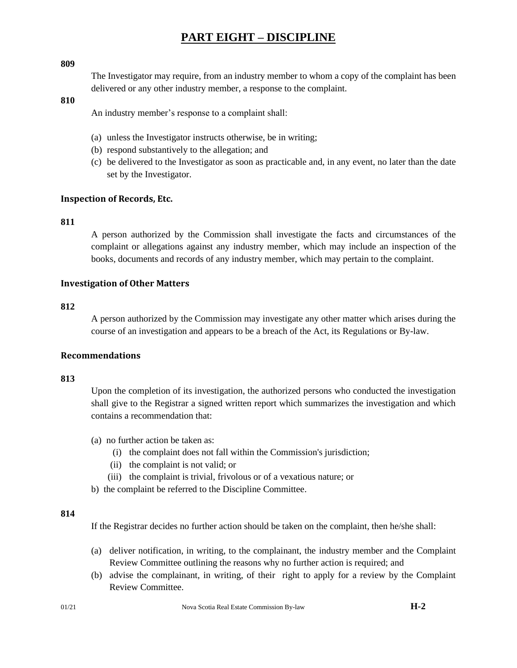#### **809**

The Investigator may require, from an industry member to whom a copy of the complaint has been delivered or any other industry member, a response to the complaint.

#### **810**

An industry member's response to a complaint shall:

- (a) unless the Investigator instructs otherwise, be in writing;
- (b) respond substantively to the allegation; and
- (c) be delivered to the Investigator as soon as practicable and, in any event, no later than the date set by the Investigator.

#### **Inspection of Records, Etc.**

#### **811**

A person authorized by the Commission shall investigate the facts and circumstances of the complaint or allegations against any industry member, which may include an inspection of the books, documents and records of any industry member, which may pertain to the complaint.

### **Investigation of Other Matters**

### **812**

A person authorized by the Commission may investigate any other matter which arises during the course of an investigation and appears to be a breach of the Act, its Regulations or By-law.

## **Recommendations**

#### **813**

Upon the completion of its investigation, the authorized persons who conducted the investigation shall give to the Registrar a signed written report which summarizes the investigation and which contains a recommendation that:

- (a) no further action be taken as:
	- (i) the complaint does not fall within the Commission's jurisdiction;
	- (ii) the complaint is not valid; or
	- (iii) the complaint is trivial, frivolous or of a vexatious nature; or
- b) the complaint be referred to the Discipline Committee.

#### **814**

If the Registrar decides no further action should be taken on the complaint, then he/she shall:

- (a) deliver notification, in writing, to the complainant, the industry member and the Complaint Review Committee outlining the reasons why no further action is required; and
- (b) advise the complainant, in writing, of their right to apply for a review by the Complaint Review Committee.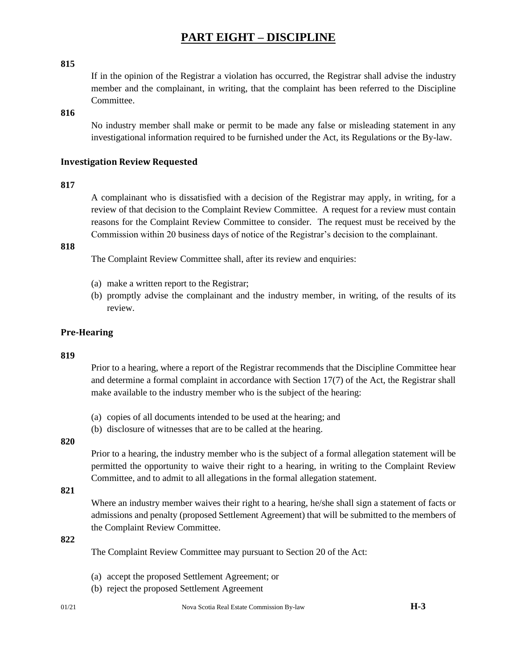#### **815**

If in the opinion of the Registrar a violation has occurred, the Registrar shall advise the industry member and the complainant, in writing, that the complaint has been referred to the Discipline Committee.

#### **816**

No industry member shall make or permit to be made any false or misleading statement in any investigational information required to be furnished under the Act, its Regulations or the By-law.

#### **Investigation Review Requested**

#### **817**

A complainant who is dissatisfied with a decision of the Registrar may apply, in writing, for a review of that decision to the Complaint Review Committee. A request for a review must contain reasons for the Complaint Review Committee to consider. The request must be received by the Commission within 20 business days of notice of the Registrar's decision to the complainant.

### **818**

The Complaint Review Committee shall, after its review and enquiries:

- (a) make a written report to the Registrar;
- (b) promptly advise the complainant and the industry member, in writing, of the results of its review.

#### **Pre-Hearing**

#### **819**

Prior to a hearing, where a report of the Registrar recommends that the Discipline Committee hear and determine a formal complaint in accordance with Section 17(7) of the Act, the Registrar shall make available to the industry member who is the subject of the hearing:

- (a) copies of all documents intended to be used at the hearing; and
- (b) disclosure of witnesses that are to be called at the hearing.

## **820**

Prior to a hearing, the industry member who is the subject of a formal allegation statement will be permitted the opportunity to waive their right to a hearing, in writing to the Complaint Review Committee, and to admit to all allegations in the formal allegation statement.

#### **821**

Where an industry member waives their right to a hearing, he/she shall sign a statement of facts or admissions and penalty (proposed Settlement Agreement) that will be submitted to the members of the Complaint Review Committee.

### **822**

The Complaint Review Committee may pursuant to Section 20 of the Act:

- (a) accept the proposed Settlement Agreement; or
- (b) reject the proposed Settlement Agreement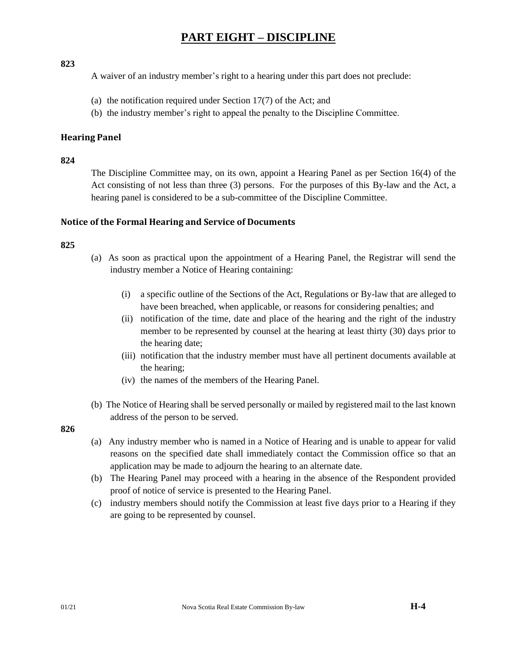### **823**

A waiver of an industry member's right to a hearing under this part does not preclude:

- (a) the notification required under Section 17(7) of the Act; and
- (b) the industry member's right to appeal the penalty to the Discipline Committee.

## **Hearing Panel**

## **824**

The Discipline Committee may, on its own, appoint a Hearing Panel as per Section 16(4) of the Act consisting of not less than three (3) persons. For the purposes of this By-law and the Act, a hearing panel is considered to be a sub-committee of the Discipline Committee.

## **Notice of the Formal Hearing and Service of Documents**

## **825**

- (a) As soon as practical upon the appointment of a Hearing Panel, the Registrar will send the industry member a Notice of Hearing containing:
	- (i) a specific outline of the Sections of the Act, Regulations or By-law that are alleged to have been breached, when applicable, or reasons for considering penalties; and
	- (ii) notification of the time, date and place of the hearing and the right of the industry member to be represented by counsel at the hearing at least thirty (30) days prior to the hearing date;
	- (iii) notification that the industry member must have all pertinent documents available at the hearing;
	- (iv) the names of the members of the Hearing Panel.
- (b) The Notice of Hearing shall be served personally or mailed by registered mail to the last known address of the person to be served.

- (a) Any industry member who is named in a Notice of Hearing and is unable to appear for valid reasons on the specified date shall immediately contact the Commission office so that an application may be made to adjourn the hearing to an alternate date.
- (b) The Hearing Panel may proceed with a hearing in the absence of the Respondent provided proof of notice of service is presented to the Hearing Panel.
- (c) industry members should notify the Commission at least five days prior to a Hearing if they are going to be represented by counsel.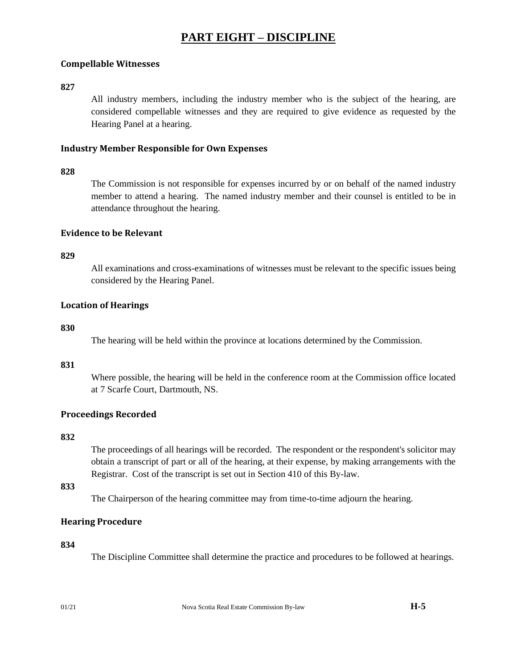## **Compellable Witnesses**

### **827**

All industry members, including the industry member who is the subject of the hearing, are considered compellable witnesses and they are required to give evidence as requested by the Hearing Panel at a hearing.

## **Industry Member Responsible for Own Expenses**

#### **828**

The Commission is not responsible for expenses incurred by or on behalf of the named industry member to attend a hearing. The named industry member and their counsel is entitled to be in attendance throughout the hearing.

#### **Evidence to be Relevant**

#### **829**

All examinations and cross-examinations of witnesses must be relevant to the specific issues being considered by the Hearing Panel.

#### **Location of Hearings**

#### **830**

The hearing will be held within the province at locations determined by the Commission.

#### **831**

Where possible, the hearing will be held in the conference room at the Commission office located at 7 Scarfe Court, Dartmouth, NS.

## **Proceedings Recorded**

#### **832**

The proceedings of all hearings will be recorded. The respondent or the respondent's solicitor may obtain a transcript of part or all of the hearing, at their expense, by making arrangements with the Registrar. Cost of the transcript is set out in Section 410 of this By-law.

### **833**

The Chairperson of the hearing committee may from time-to-time adjourn the hearing.

## **Hearing Procedure**

#### **834**

The Discipline Committee shall determine the practice and procedures to be followed at hearings.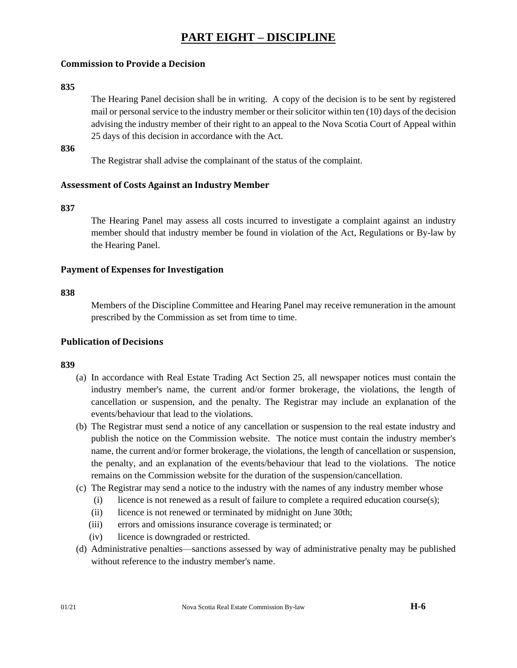# **PART EIGHT – DISCIPLINE**

# **Commission to Provide a Decision**

#### **835**

The Hearing Panel decision shall be in writing. A copy of the decision is to be sent by registered mail or personal service to the industry member or their solicitor within ten (10) days of the decision advising the industry member of their right to an appeal to the Nova Scotia Court of Appeal within 25 days of this decision in accordance with the Act.

# **836**

The Registrar shall advise the complainant of the status of the complaint.

# **Assessment of Costs Against an Industry Member**

### **837**

The Hearing Panel may assess all costs incurred to investigate a complaint against an industry member should that industry member be found in violation of the Act, Regulations or By-law by the Hearing Panel.

### **Payment of Expenses for Investigation**

#### **838**

Members of the Discipline Committee and Hearing Panel may receive remuneration in the amount prescribed by the Commission as set from time to time.

### **Publication of Decisions**

### **839**

- (a) In accordance with Real Estate Trading Act Section 25, all newspaper notices must contain the industry member's name, the current and/or former brokerage, the violations, the length of cancellation or suspension, and the penalty. The Registrar may include an explanation of the events/behaviour that lead to the violations.
- (b) The Registrar must send a notice of any cancellation or suspension to the real estate industry and publish the notice on the Commission website. The notice must contain the industry member's name, the current and/or former brokerage, the violations, the length of cancellation or suspension, the penalty, and an explanation of the events/behaviour that lead to the violations. The notice remains on the Commission website for the duration of the suspension/cancellation.
- (c) The Registrar may send a notice to the industry with the names of any industry member whose
	- (i) licence is not renewed as a result of failure to complete a required education course(s);
	- (ii) licence is not renewed or terminated by midnight on June 30th;
	- (iii) errors and omissions insurance coverage is terminated; or
	- (iv) licence is downgraded or restricted.
- (d) Administrative penalties—sanctions assessed by way of administrative penalty may be published without reference to the industry member's name.